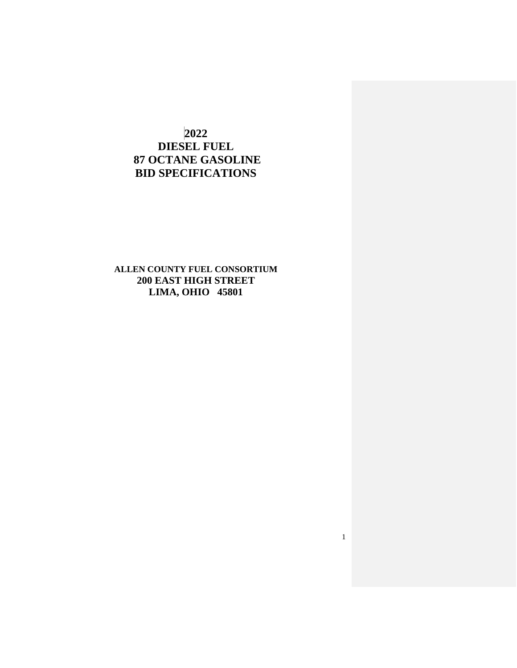# **2022 DIESEL FUEL 87 OCTANE GASOLINE BID SPECIFICATIONS**

**ALLEN COUNTY FUEL CONSORTIUM 200 EAST HIGH STREET LIMA, OHIO 45801**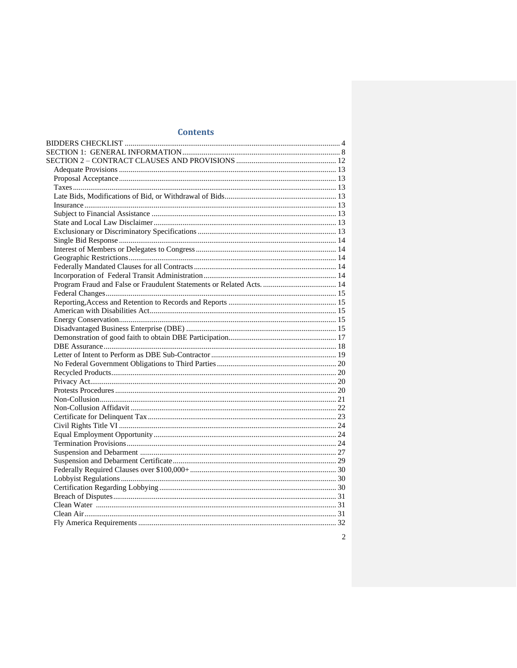## **Contents**

 $\overline{c}$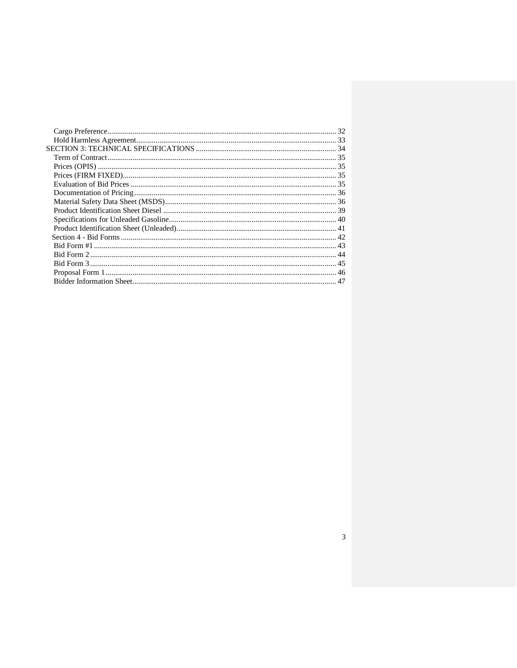$\overline{3}$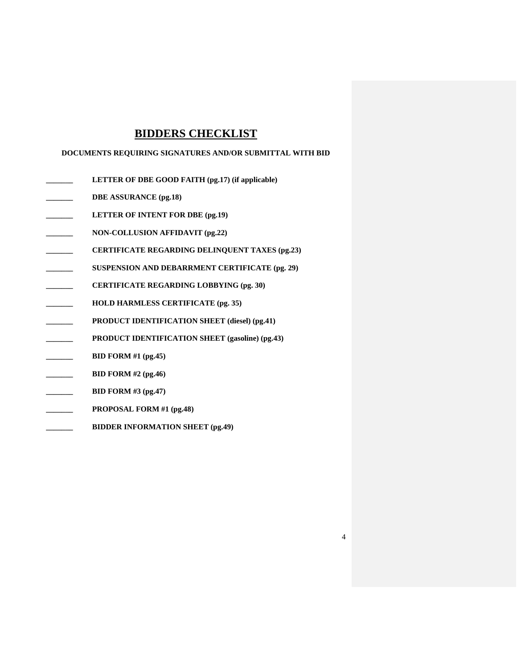# **BIDDERS CHECKLIST**

## <span id="page-3-0"></span>**DOCUMENTS REQUIRING SIGNATURES AND/OR SUBMITTAL WITH BID**

- **\_\_\_\_\_\_\_ LETTER OF DBE GOOD FAITH (pg.17) (if applicable)**
- **\_\_\_\_\_\_\_ DBE ASSURANCE (pg.18)**
- **\_\_\_\_\_\_\_ LETTER OF INTENT FOR DBE (pg.19)**
- **\_\_\_\_\_\_\_ NON-COLLUSION AFFIDAVIT (pg.22)**
- **\_\_\_\_\_\_\_ CERTIFICATE REGARDING DELINQUENT TAXES (pg.23)**
- **\_\_\_\_\_\_\_ SUSPENSION AND DEBARRMENT CERTIFICATE (pg. 29)**
- **\_\_\_\_\_\_\_ CERTIFICATE REGARDING LOBBYING (pg. 30)**
- **\_\_\_\_\_\_\_ HOLD HARMLESS CERTIFICATE (pg. 35)**
- **\_\_\_\_\_\_\_ PRODUCT IDENTIFICATION SHEET (diesel) (pg.41)**
- **\_\_\_\_\_\_\_ PRODUCT IDENTIFICATION SHEET (gasoline) (pg.43)**

- **\_\_\_\_\_\_\_ BID FORM #1 (pg.45)**
- **\_\_\_\_\_\_\_ BID FORM #2 (pg.46)**
- **\_\_\_\_\_\_\_ BID FORM #3 (pg.47)**
- **\_\_\_\_\_\_\_ PROPOSAL FORM #1 (pg.48)**
- **\_\_\_\_\_\_\_ BIDDER INFORMATION SHEET (pg.49)**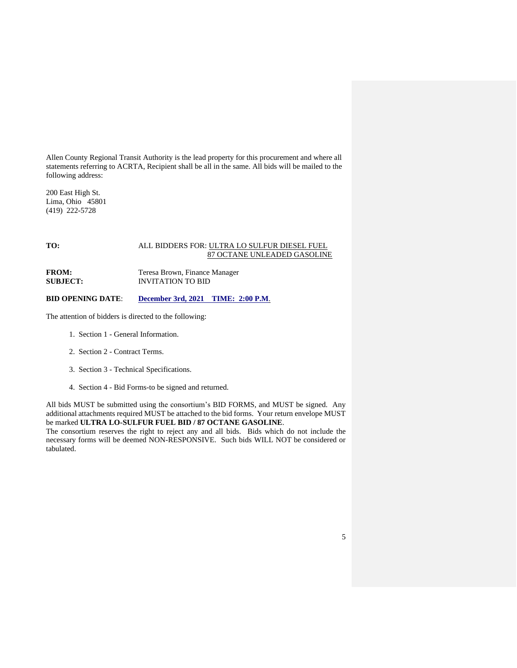Allen County Regional Transit Authority is the lead property for this procurement and where all statements referring to ACRTA, Recipient shall be all in the same. All bids will be mailed to the following address:

200 East High St. Lima, Ohio 45801 (419) 222-5728

## **TO:** ALL BIDDERS FOR: ULTRA LO SULFUR DIESEL FUEL 87 OCTANE UNLEADED GASOLINE

FROM: Teresa Brown, Finance Manager **SUBJECT:** INVITATION TO BID

### **BID OPENING DATE**: **December 3rd, 2021 TIME: 2:00 P.M**.

The attention of bidders is directed to the following:

- 1. Section 1 General Information.
- 2. Section 2 Contract Terms.
- 3. Section 3 Technical Specifications.
- 4. Section 4 Bid Forms-to be signed and returned.

All bids MUST be submitted using the consortium's BID FORMS, and MUST be signed. Any additional attachments required MUST be attached to the bid forms. Your return envelope MUST be marked **ULTRA LO-SULFUR FUEL BID / 87 OCTANE GASOLINE**.

The consortium reserves the right to reject any and all bids. Bids which do not include the necessary forms will be deemed NON-RESPONSIVE. Such bids WILL NOT be considered or tabulated.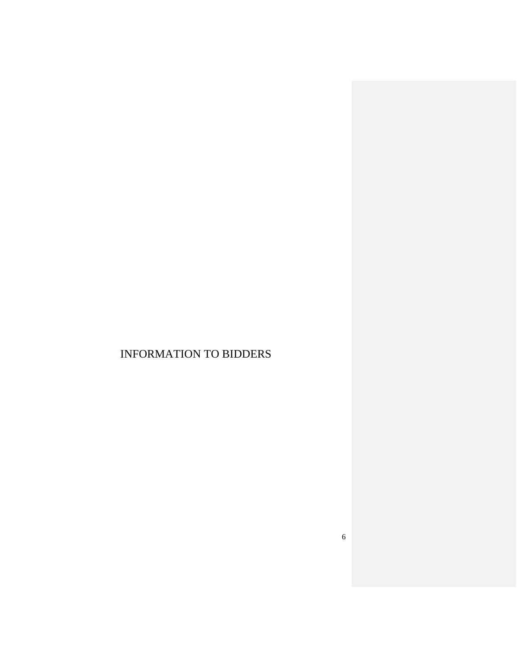# INFORMATION TO BIDDERS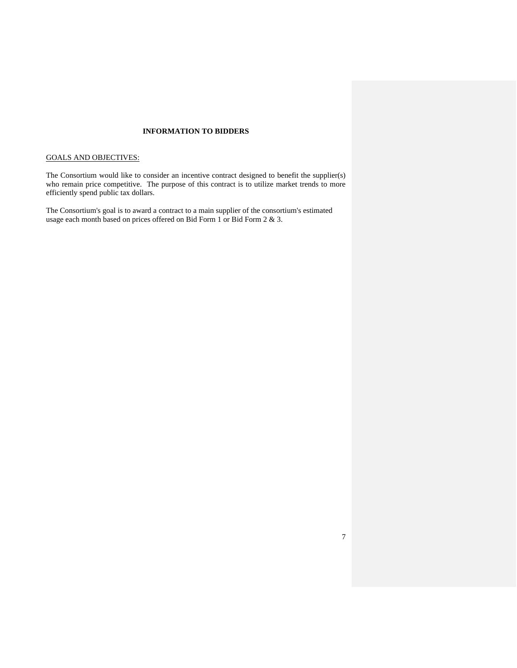## **INFORMATION TO BIDDERS**

## GOALS AND OBJECTIVES:

The Consortium would like to consider an incentive contract designed to benefit the supplier(s) who remain price competitive. The purpose of this contract is to utilize market trends to more efficiently spend public tax dollars.

The Consortium's goal is to award a contract to a main supplier of the consortium's estimated usage each month based on prices offered on Bid Form 1 or Bid Form 2 & 3.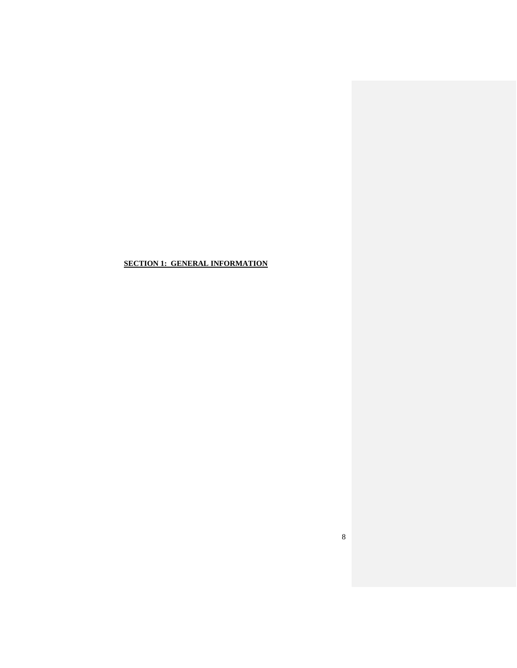<span id="page-7-0"></span>**SECTION 1: GENERAL INFORMATION**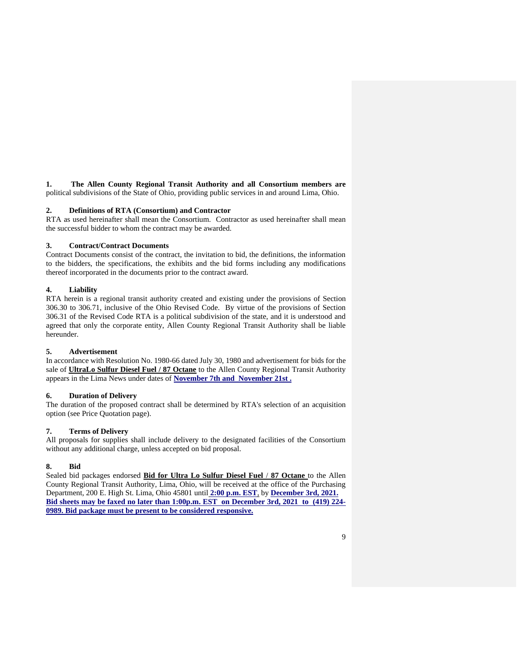**1. The Allen County Regional Transit Authority and all Consortium members are** political subdivisions of the State of Ohio, providing public services in and around Lima, Ohio.

## **2. Definitions of RTA (Consortium) and Contractor**

RTA as used hereinafter shall mean the Consortium. Contractor as used hereinafter shall mean the successful bidder to whom the contract may be awarded.

### **3. Contract/Contract Documents**

Contract Documents consist of the contract, the invitation to bid, the definitions, the information to the bidders, the specifications, the exhibits and the bid forms including any modifications thereof incorporated in the documents prior to the contract award.

### **4. Liability**

RTA herein is a regional transit authority created and existing under the provisions of Section 306.30 to 306.71, inclusive of the Ohio Revised Code. By virtue of the provisions of Section 306.31 of the Revised Code RTA is a political subdivision of the state, and it is understood and agreed that only the corporate entity, Allen County Regional Transit Authority shall be liable hereunder.

### **5. Advertisement**

In accordance with Resolution No. 1980-66 dated July 30, 1980 and advertisement for bids for the sale of **UltraLo Sulfur Diesel Fuel / 87 Octane** to the Allen County Regional Transit Authority appears in the Lima News under dates of **November 7th and November 21st .**

## **6. Duration of Delivery**

The duration of the proposed contract shall be determined by RTA's selection of an acquisition option (see Price Quotation page).

## **7. Terms of Delivery**

All proposals for supplies shall include delivery to the designated facilities of the Consortium without any additional charge, unless accepted on bid proposal.

## **8. Bid**

Sealed bid packages endorsed **Bid for Ultra Lo Sulfur Diesel Fuel** / **87 Octane** to the Allen County Regional Transit Authority, Lima, Ohio, will be received at the office of the Purchasing Department, 200 E. High St. Lima, Ohio 45801 until **2:00 p.m. EST**, by **December 3rd, 2021. Bid sheets may be faxed no later than 1:00p.m. EST on December 3rd, 2021 to (419) 224- 0989. Bid package must be present to be considered responsive.**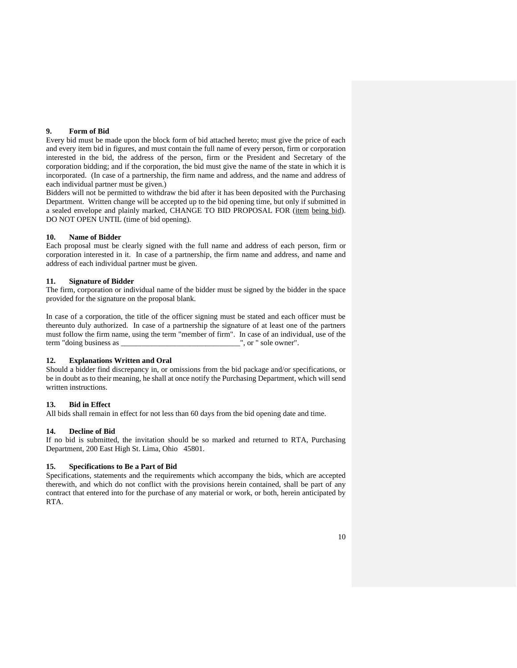### **9. Form of Bid**

Every bid must be made upon the block form of bid attached hereto; must give the price of each and every item bid in figures, and must contain the full name of every person, firm or corporation interested in the bid, the address of the person, firm or the President and Secretary of the corporation bidding; and if the corporation, the bid must give the name of the state in which it is incorporated. (In case of a partnership, the firm name and address, and the name and address of each individual partner must be given.)

Bidders will not be permitted to withdraw the bid after it has been deposited with the Purchasing Department. Written change will be accepted up to the bid opening time, but only if submitted in a sealed envelope and plainly marked, CHANGE TO BID PROPOSAL FOR (item being bid). DO NOT OPEN UNTIL (time of bid opening).

### **10. Name of Bidder**

Each proposal must be clearly signed with the full name and address of each person, firm or corporation interested in it. In case of a partnership, the firm name and address, and name and address of each individual partner must be given.

#### **11. Signature of Bidder**

The firm, corporation or individual name of the bidder must be signed by the bidder in the space provided for the signature on the proposal blank.

In case of a corporation, the title of the officer signing must be stated and each officer must be thereunto duly authorized. In case of a partnership the signature of at least one of the partners must follow the firm name, using the term "member of firm". In case of an individual, use of the term "doing business as ", or " sole owner". term "doing business as

### **12. Explanations Written and Oral**

Should a bidder find discrepancy in, or omissions from the bid package and/or specifications, or be in doubt as to their meaning, he shall at once notify the Purchasing Department, which will send written instructions.

#### **13. Bid in Effect**

All bids shall remain in effect for not less than 60 days from the bid opening date and time.

## **14. Decline of Bid**

If no bid is submitted, the invitation should be so marked and returned to RTA, Purchasing Department, 200 East High St. Lima, Ohio 45801.

## **15. Specifications to Be a Part of Bid**

Specifications, statements and the requirements which accompany the bids, which are accepted therewith, and which do not conflict with the provisions herein contained, shall be part of any contract that entered into for the purchase of any material or work, or both, herein anticipated by RTA.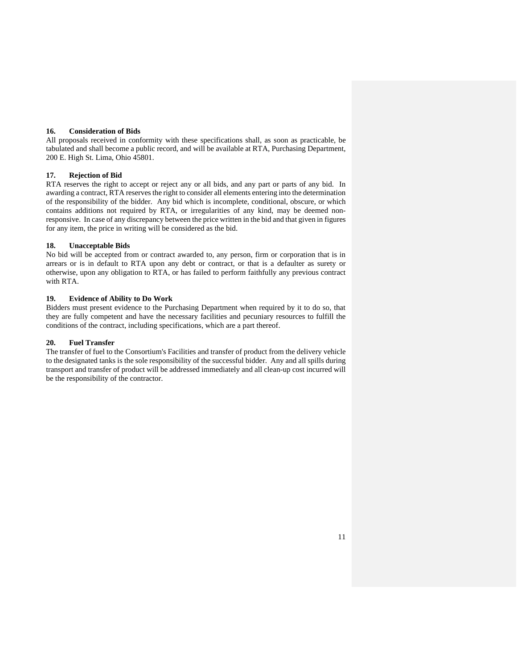#### **16. Consideration of Bids**

All proposals received in conformity with these specifications shall, as soon as practicable, be tabulated and shall become a public record, and will be available at RTA, Purchasing Department, 200 E. High St. Lima, Ohio 45801.

### **17. Rejection of Bid**

RTA reserves the right to accept or reject any or all bids, and any part or parts of any bid. In awarding a contract, RTA reserves the right to consider all elements entering into the determination of the responsibility of the bidder. Any bid which is incomplete, conditional, obscure, or which contains additions not required by RTA, or irregularities of any kind, may be deemed nonresponsive. In case of any discrepancy between the price written in the bid and that given in figures for any item, the price in writing will be considered as the bid.

#### **18. Unacceptable Bids**

No bid will be accepted from or contract awarded to, any person, firm or corporation that is in arrears or is in default to RTA upon any debt or contract, or that is a defaulter as surety or otherwise, upon any obligation to RTA, or has failed to perform faithfully any previous contract with RTA.

#### **19. Evidence of Ability to Do Work**

Bidders must present evidence to the Purchasing Department when required by it to do so, that they are fully competent and have the necessary facilities and pecuniary resources to fulfill the conditions of the contract, including specifications, which are a part thereof.

#### **20. Fuel Transfer**

The transfer of fuel to the Consortium's Facilities and transfer of product from the delivery vehicle to the designated tanks is the sole responsibility of the successful bidder. Any and all spills during transport and transfer of product will be addressed immediately and all clean-up cost incurred will be the responsibility of the contractor.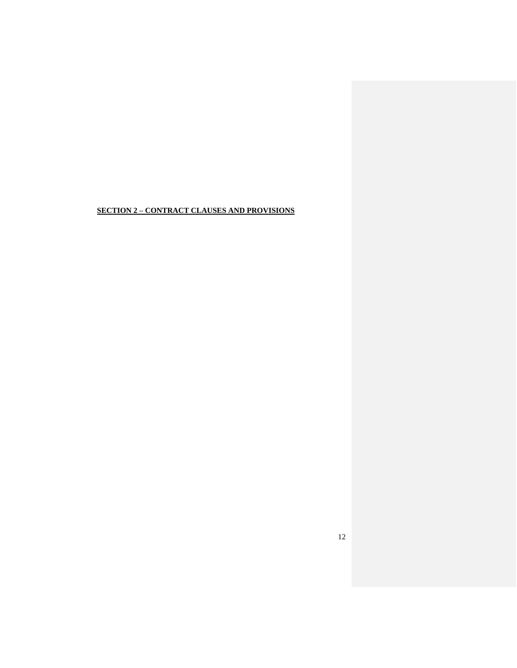## <span id="page-11-0"></span>**SECTION 2 – CONTRACT CLAUSES AND PROVISIONS**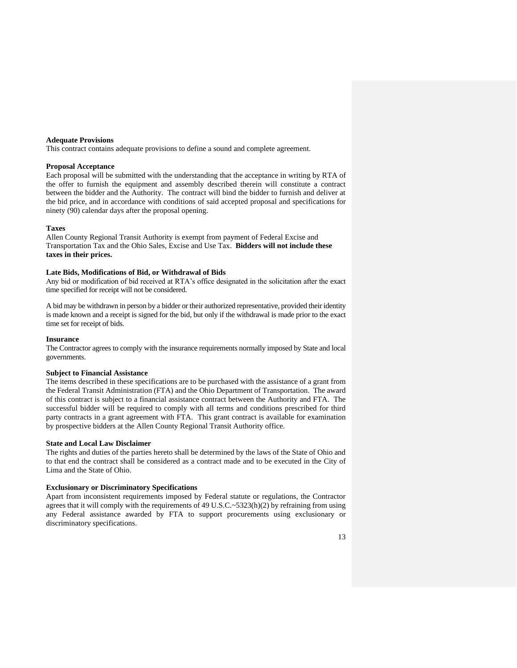#### <span id="page-12-0"></span>**Adequate Provisions**

This contract contains adequate provisions to define a sound and complete agreement.

#### <span id="page-12-1"></span>**Proposal Acceptance**

Each proposal will be submitted with the understanding that the acceptance in writing by RTA of the offer to furnish the equipment and assembly described therein will constitute a contract between the bidder and the Authority. The contract will bind the bidder to furnish and deliver at the bid price, and in accordance with conditions of said accepted proposal and specifications for ninety (90) calendar days after the proposal opening.

#### <span id="page-12-2"></span>**Taxes**

Allen County Regional Transit Authority is exempt from payment of Federal Excise and Transportation Tax and the Ohio Sales, Excise and Use Tax. **Bidders will not include these taxes in their prices.**

### <span id="page-12-3"></span>**Late Bids, Modifications of Bid, or Withdrawal of Bids**

Any bid or modification of bid received at RTA's office designated in the solicitation after the exact time specified for receipt will not be considered.

A bid may be withdrawn in person by a bidder or their authorized representative, provided their identity is made known and a receipt is signed for the bid, but only if the withdrawal is made prior to the exact time set for receipt of bids.

#### <span id="page-12-4"></span>**Insurance**

The Contractor agrees to comply with the insurance requirements normally imposed by State and local governments.

#### <span id="page-12-5"></span>**Subject to Financial Assistance**

The items described in these specifications are to be purchased with the assistance of a grant from the Federal Transit Administration (FTA) and the Ohio Department of Transportation. The award of this contract is subject to a financial assistance contract between the Authority and FTA. The successful bidder will be required to comply with all terms and conditions prescribed for third party contracts in a grant agreement with FTA. This grant contract is available for examination by prospective bidders at the Allen County Regional Transit Authority office.

#### <span id="page-12-6"></span>**State and Local Law Disclaimer**

The rights and duties of the parties hereto shall be determined by the laws of the State of Ohio and to that end the contract shall be considered as a contract made and to be executed in the City of Lima and the State of Ohio.

### <span id="page-12-7"></span>**Exclusionary or Discriminatory Specifications**

Apart from inconsistent requirements imposed by Federal statute or regulations, the Contractor agrees that it will comply with the requirements of 49 U.S.C. $\sim$ 5323(h)(2) by refraining from using any Federal assistance awarded by FTA to support procurements using exclusionary or discriminatory specifications.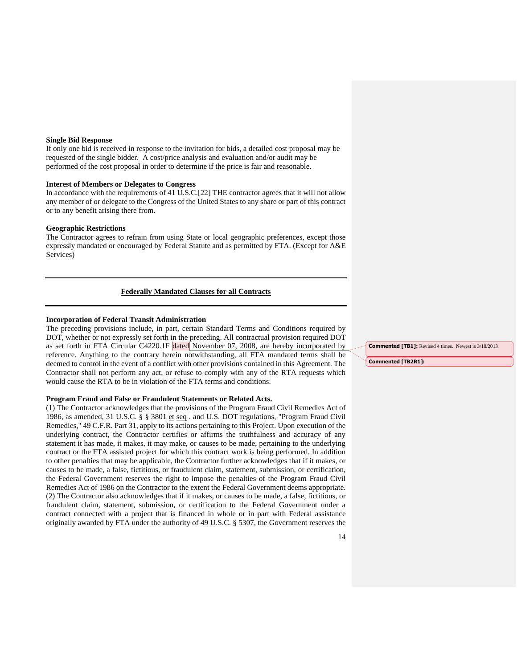#### <span id="page-13-0"></span>**Single Bid Response**

If only one bid is received in response to the invitation for bids, a detailed cost proposal may be requested of the single bidder. A cost/price analysis and evaluation and/or audit may be performed of the cost proposal in order to determine if the price is fair and reasonable.

#### <span id="page-13-1"></span>**Interest of Members or Delegates to Congress**

In accordance with the requirements of 41 U.S.C.[22] THE contractor agrees that it will not allow any member of or delegate to the Congress of the United States to any share or part of this contract or to any benefit arising there from.

#### <span id="page-13-2"></span>**Geographic Restrictions**

The Contractor agrees to refrain from using State or local geographic preferences, except those expressly mandated or encouraged by Federal Statute and as permitted by FTA. (Except for A&E Services)

## **Federally Mandated Clauses for all Contracts**

### <span id="page-13-4"></span><span id="page-13-3"></span>**Incorporation of Federal Transit Administration**

The preceding provisions include, in part, certain Standard Terms and Conditions required by DOT, whether or not expressly set forth in the preceding. All contractual provision required DOT as set forth in FTA Circular C4220.1F dated November 07, 2008, are hereby incorporated by reference. Anything to the contrary herein notwithstanding, all FTA mandated terms shall be deemed to control in the event of a conflict with other provisions contained in this Agreement. The Contractor shall not perform any act, or refuse to comply with any of the RTA requests which would cause the RTA to be in violation of the FTA terms and conditions.

#### <span id="page-13-5"></span>**Program Fraud and False or Fraudulent Statements or Related Acts.**

(1) The Contractor acknowledges that the provisions of the Program Fraud Civil Remedies Act of 1986, as amended, 31 U.S.C. § § 3801 et seq. and U.S. DOT regulations, "Program Fraud Civil Remedies," 49 C.F.R. Part 31, apply to its actions pertaining to this Project. Upon execution of the underlying contract, the Contractor certifies or affirms the truthfulness and accuracy of any statement it has made, it makes, it may make, or causes to be made, pertaining to the underlying contract or the FTA assisted project for which this contract work is being performed. In addition to other penalties that may be applicable, the Contractor further acknowledges that if it makes, or causes to be made, a false, fictitious, or fraudulent claim, statement, submission, or certification, the Federal Government reserves the right to impose the penalties of the Program Fraud Civil Remedies Act of 1986 on the Contractor to the extent the Federal Government deems appropriate. (2) The Contractor also acknowledges that if it makes, or causes to be made, a false, fictitious, or fraudulent claim, statement, submission, or certification to the Federal Government under a contract connected with a project that is financed in whole or in part with Federal assistance originally awarded by FTA under the authority of 49 U.S.C. § 5307, the Government reserves the **Commented [TB1]:** Revised 4 times. Newest is 3/18/2013

**Commented [TB2R1]:**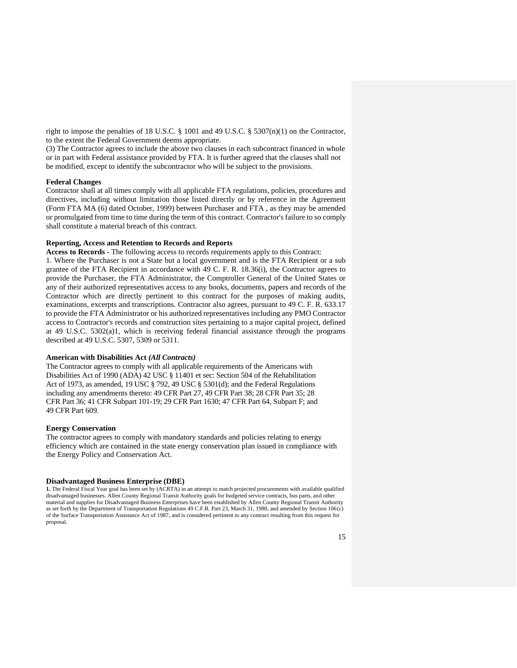right to impose the penalties of 18 U.S.C. § 1001 and 49 U.S.C. § 5307(n)(1) on the Contractor, to the extent the Federal Government deems appropriate.

(3) The Contractor agrees to include the above two clauses in each subcontract financed in whole or in part with Federal assistance provided by FTA. It is further agreed that the clauses shall not be modified, except to identify the subcontractor who will be subject to the provisions.

#### <span id="page-14-0"></span>**Federal Changes**

Contractor shall at all times comply with all applicable FTA regulations, policies, procedures and directives, including without limitation those listed directly or by reference in the Agreement (Form FTA MA (6) dated October, 1999) between Purchaser and FTA , as they may be amended or promulgated from time to time during the term of this contract. Contractor's failure to so comply shall constitute a material breach of this contract.

#### <span id="page-14-1"></span>**Reporting, Access and Retention to Records and Reports**

**Access to Records -** The following access to records requirements apply to this Contract:

1. Where the Purchaser is not a State but a local government and is the FTA Recipient or a sub grantee of the FTA Recipient in accordance with 49 C. F. R. 18.36(i), the Contractor agrees to provide the Purchaser, the FTA Administrator, the Comptroller General of the United States or any of their authorized representatives access to any books, documents, papers and records of the Contractor which are directly pertinent to this contract for the purposes of making audits, examinations, excerpts and transcriptions. Contractor also agrees, pursuant to 49 C. F. R. 633.17 to provide the FTA Administrator or his authorized representatives including any PMO Contractor access to Contractor's records and construction sites pertaining to a major capital project, defined at 49 U.S.C. 5302(a)1, which is receiving federal financial assistance through the programs described at 49 U.S.C. 5307, 5309 or 5311.

#### <span id="page-14-2"></span>**American with Disabilities Act** *(All Contracts)*

The Contractor agrees to comply with all applicable requirements of the Americans with Disabilities Act of 1990 (ADA) 42 USC § 11401 et sec: Section 504 of the Rehabilitation Act of 1973, as amended, 19 USC § 792, 49 USC § 5301(d); and the Federal Regulations including any amendments thereto: 49 CFR Part 27, 49 CFR Part 38; 28 CFR Part 35; 28 CFR Part 36; 41 CFR Subpart 101-19; 29 CFR Part 1630; 47 CFR Part 64, Subpart F; and 49 CFR Part 609.

#### <span id="page-14-3"></span>**Energy Conservation**

The contractor agrees to comply with mandatory standards and policies relating to energy efficiency which are contained in the state energy conservation plan issued in compliance with the Energy Policy and Conservation Act.

#### <span id="page-14-4"></span>**Disadvantaged Business Enterprise (DBE)**

**1.** The Federal Fiscal Year goal has been set by (ACRTA) in an attempt to match projected procurements with available qualified disadvantaged businesses. Allen County Regional Transit Authority goals for budgeted service contracts, bus parts, and other material and supplies for Disadvantaged Business Enterprises have been established by Allen County Regional Transit Authority as set forth by the Department of Transportation Regulations 49 C.F.R. Part 23, March 31, 1980, and amended by Section 106(c) of the Surface Transportation Assistance Act of 1987, and is considered pertinent to any contract resulting from this request for proposal.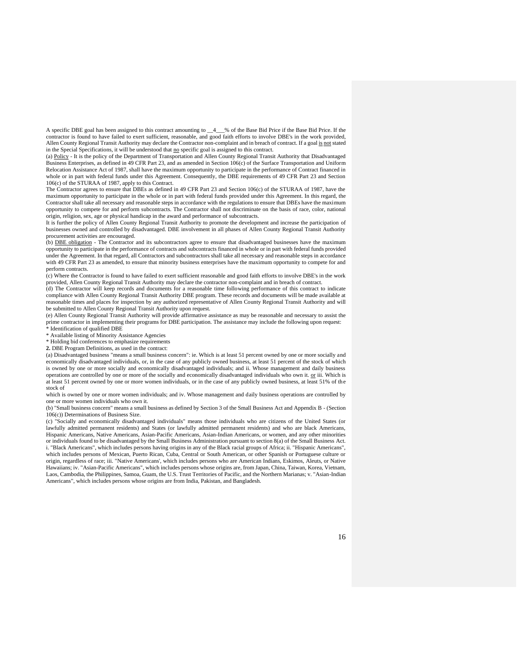A specific DBE goal has been assigned to this contract amounting to \_\_4\_\_\_% of the Base Bid Price if the Base Bid Price. If the contractor is found to have failed to exert sufficient, reasonable, and good faith efforts to involve DBE's in the work provided, Allen County Regional Transit Authority may declare the Contractor non-complaint and in breach of contract. If a goal is not stated in the Special Specifications, it will be understood that no specific goal is assigned to this contract.

(a) Policy - It is the policy of the Department of Transportation and Allen County Regional Transit Authority that Disadvantaged Business Enterprises, as defined in 49 CFR Part 23, and as amended in Section 106(c) of the Surface Transportation and Uniform Relocation Assistance Act of 1987, shall have the maximum opportunity to participate in the performance of Contract financed in whole or in part with federal funds under this Agreement. Consequently, the DBE requirements of 49 CFR Part 23 and Section 106(c) of the STURAA of 1987, apply to this Contract.

The Contractor agrees to ensure that DBEs as defined in 49 CFR Part 23 and Section 106(c) of the STURAA of 1987, have the maximum opportunity to participate in the whole or in part with federal funds provided under this Agreement. In this regard, the Contractor shall take all necessary and reasonable steps in accordance with the regulations to ensure that DBEs have the maximum opportunity to compete for and perform subcontracts. The Contractor shall not discriminate on the basis of race, color, national origin, religion, sex, age or physical handicap in the award and performance of subcontracts.

It is further the policy of Allen County Regional Transit Authority to promote the development and increase the participation of businesses owned and controlled by disadvantaged. DBE involvement in all phases of Allen County Regional Transit Authority procurement activities are encouraged.

(b) DBE obligation - The Contractor and its subcontractors agree to ensure that disadvantaged businesses have the maximum opportunity to participate in the performance of contracts and subcontracts financed in whole or in part with federal funds provided under the Agreement. In that regard, all Contractors and subcontractors shall take all necessary and reasonable steps in accordance with 49 CFR Part 23 as amended, to ensure that minority business enterprises have the maximum opportunity to compete for and perform contracts.

(c) Where the Contractor is found to have failed to exert sufficient reasonable and good faith efforts to involve DBE's in the work provided, Allen County Regional Transit Authority may declare the contractor non-complaint and in breach of contract.

(d) The Contractor will keep records and documents for a reasonable time following performance of this contract to indicate compliance with Allen County Regional Transit Authority DBE program. These records and documents will be made available at reasonable times and places for inspection by any authorized representative of Allen County Regional Transit Authority and will be submitted to Allen County Regional Transit Authority upon request.

(e) Allen County Regional Transit Authority will provide affirmative assistance as may be reasonable and necessary to assist the prime contractor in implementing their programs for DBE participation. The assistance may include the following upon request: \* Identification of qualified DBE

\* Available listing of Minority Assistance Agencies

\* Holding bid conferences to emphasize requirements

**2.** DBE Program Definitions, as used in the contract:

(a) Disadvantaged business "means a small business concern": ie. Which is at least 51 percent owned by one or more socially and economically disadvantaged individuals, or, in the case of any publicly owned business, at least 51 percent of the stock of which is owned by one or more socially and economically disadvantaged individuals; and ii. Whose management and daily business operations are controlled by one or more of the socially and economically disadvantaged individuals who own it. or iii. Which is at least 51 percent owned by one or more women individuals, or in the case of any publicly owned business, at least 51% of the stock of

which is owned by one or more women individuals; and iv. Whose management and daily business operations are controlled by one or more women individuals who own it.

(b) "Small business concern" means a small business as defined by Section 3 of the Small Business Act and Appendix B - (Section 106(c)) Determinations of Business Size.

(c) "Socially and economically disadvantaged individuals" means those individuals who are citizens of the United States (or lawfully admitted permanent residents) and States (or lawfully admitted permanent residents) and who are black Americans, Hispanic Americans, Native Americans, Asian-Pacific Americans, Asian-Indian Americans, or women, and any other minorities or individuals found to be disadvantaged by the Small Business Administration pursuant to section 8(a) of the Small Business Act. i. "Black Americans", which includes persons having origins in any of the Black racial groups of Africa; ii. "Hispanic Americans", which includes persons of Mexican, Puerto Rican, Cuba, Central or South American, or other Spanish or Portuguese culture or origin, regardless of race; iii. "Native Americans', which includes persons who are American Indians, Eskimos, Aleuts, or Native Hawaiians; iv. "Asian-Pacific Americans", which includes persons whose origins are, from Japan, China, Taiwan, Korea, Vietnam, Laos, Cambodia, the Philippines, Samoa, Guam, the U.S. Trust Territories of Pacific, and the Northern Marianas; v. "Asian-Indian Americans", which includes persons whose origins are from India, Pakistan, and Bangladesh.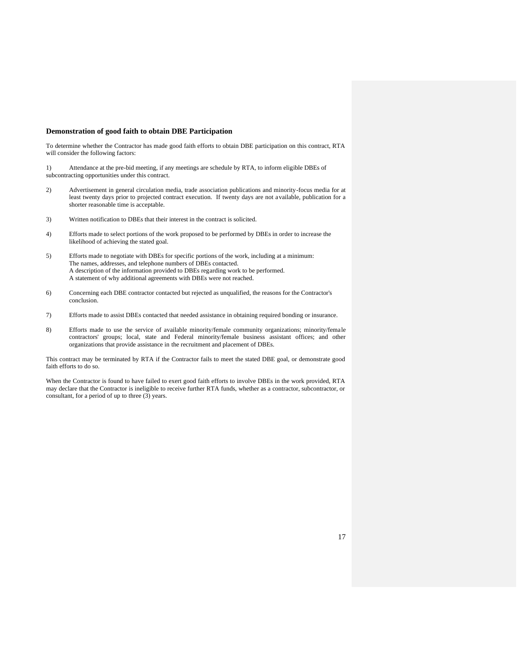#### <span id="page-16-0"></span>**Demonstration of good faith to obtain DBE Participation**

To determine whether the Contractor has made good faith efforts to obtain DBE participation on this contract, RTA will consider the following factors:

1) Attendance at the pre-bid meeting, if any meetings are schedule by RTA, to inform eligible DBEs of subcontracting opportunities under this contract.

- 2) Advertisement in general circulation media, trade association publications and minority-focus media for at least twenty days prior to projected contract execution. If twenty days are not available, publication for a shorter reasonable time is acceptable.
- 3) Written notification to DBEs that their interest in the contract is solicited.
- 4) Efforts made to select portions of the work proposed to be performed by DBEs in order to increase the likelihood of achieving the stated goal.
- 5) Efforts made to negotiate with DBEs for specific portions of the work, including at a minimum: The names, addresses, and telephone numbers of DBEs contacted. A description of the information provided to DBEs regarding work to be performed. A statement of why additional agreements with DBEs were not reached.
- 6) Concerning each DBE contractor contacted but rejected as unqualified, the reasons for the Contractor's conclusion.
- 7) Efforts made to assist DBEs contacted that needed assistance in obtaining required bonding or insurance.
- 8) Efforts made to use the service of available minority/female community organizations; minority/female contractors' groups; local, state and Federal minority/female business assistant offices; and other organizations that provide assistance in the recruitment and placement of DBEs.

This contract may be terminated by RTA if the Contractor fails to meet the stated DBE goal, or demonstrate good faith efforts to do so.

When the Contractor is found to have failed to exert good faith efforts to involve DBEs in the work provided, RTA may declare that the Contractor is ineligible to receive further RTA funds, whether as a contractor, subcontractor, or consultant, for a period of up to three (3) years.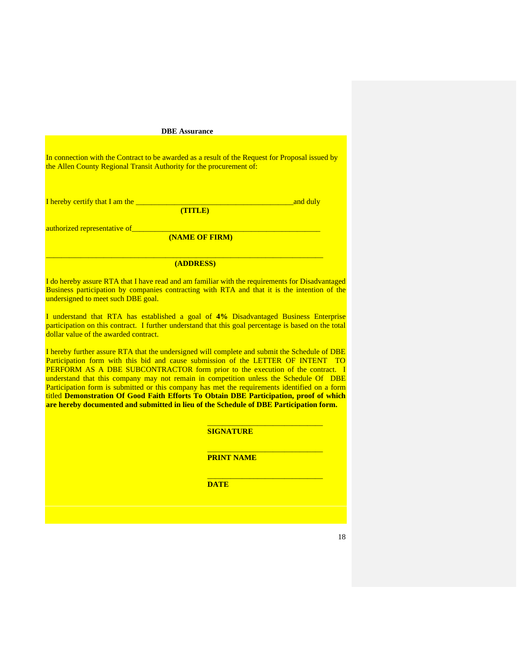#### <span id="page-17-0"></span>**DBE Assurance**

In connection with the Contract to be awarded as a result of the Request for Proposal issued by the Allen County Regional Transit Authority for the procurement of:

I hereby certify that I am the \_\_\_\_\_\_\_\_\_\_\_\_\_\_\_\_\_\_\_\_\_\_\_\_\_\_\_\_\_\_\_\_\_\_\_\_\_\_\_\_\_and duly

**(TITLE)**

authorized representative of

**(NAME OF FIRM)**

## **(ADDRESS)**

\_\_\_\_\_\_\_\_\_\_\_\_\_\_\_\_\_\_\_\_\_\_\_\_\_\_\_\_\_\_\_\_\_\_\_\_\_\_\_\_\_\_\_\_\_\_\_\_\_\_\_\_\_\_\_\_\_\_\_\_\_\_\_\_\_\_\_\_\_\_\_\_

I do hereby assure RTA that I have read and am familiar with the requirements for Disadvantaged Business participation by companies contracting with RTA and that it is the intention of the undersigned to meet such DBE goal.

I understand that RTA has established a goal of **4%** Disadvantaged Business Enterprise participation on this contract. I further understand that this goal percentage is based on the total dollar value of the awarded contract.

I hereby further assure RTA that the undersigned will complete and submit the Schedule of DBE Participation form with this bid and cause submission of the LETTER OF INTENT TO PERFORM AS A DBE SUBCONTRACTOR form prior to the execution of the contract. I understand that this company may not remain in competition unless the Schedule Of DBE Participation form is submitted or this company has met the requirements identified on a form titled **Demonstration Of Good Faith Efforts To Obtain DBE Participation, proof of which are hereby documented and submitted in lieu of the Schedule of DBE Participation form.**

**SIGNATURE**

\_\_\_\_\_\_\_\_\_\_\_\_\_\_\_\_\_\_\_\_\_\_\_\_\_\_\_\_\_\_

\_\_\_\_\_\_\_\_\_\_\_\_\_\_\_\_\_\_\_\_\_\_\_\_\_\_\_\_\_\_

\_\_\_\_\_\_\_\_\_\_\_\_\_\_\_\_\_\_\_\_\_\_\_\_\_\_\_\_\_\_

**PRINT NAME**

**DATE**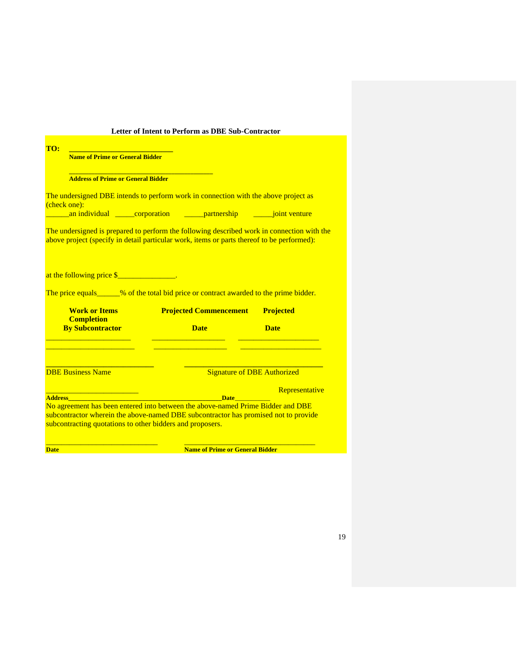<span id="page-18-0"></span>

|                                                           | Letter of Intent to Perform as DBE Sub-Contractor                                                                                                                                        |                                    |
|-----------------------------------------------------------|------------------------------------------------------------------------------------------------------------------------------------------------------------------------------------------|------------------------------------|
| TO:                                                       |                                                                                                                                                                                          |                                    |
| <b>Name of Prime or General Bidder</b>                    |                                                                                                                                                                                          |                                    |
|                                                           |                                                                                                                                                                                          |                                    |
| <b>Address of Prime or General Bidder</b>                 |                                                                                                                                                                                          |                                    |
| (check one):                                              | The undersigned DBE intends to perform work in connection with the above project as                                                                                                      |                                    |
|                                                           | an individual <u>corporation compartnership</u> and individual                                                                                                                           |                                    |
|                                                           | The undersigned is prepared to perform the following described work in connection with the<br>above project (specify in detail particular work, items or parts thereof to be performed): |                                    |
| at the following price \$                                 | The price equals______% of the total bid price or contract awarded to the prime bidder.                                                                                                  |                                    |
|                                                           |                                                                                                                                                                                          |                                    |
| <b>Work or Items</b><br><b>Completion</b>                 | <b>Projected Commencement</b>                                                                                                                                                            | <b>Projected</b>                   |
| <b>By Subcontractor</b>                                   | <b>Date</b>                                                                                                                                                                              | <b>Date</b>                        |
|                                                           |                                                                                                                                                                                          |                                    |
| <b>DBE Business Name</b>                                  |                                                                                                                                                                                          | <b>Signature of DBE Authorized</b> |
|                                                           |                                                                                                                                                                                          | Representative                     |
| <b>Address <i>Address</i></b>                             | <b>Example 10 Date Date Date</b>                                                                                                                                                         |                                    |
|                                                           | No agreement has been entered into between the above-named Prime Bidder and DBE<br>subcontractor wherein the above-named DBE subcontractor has promised not to provide                   |                                    |
| subcontracting quotations to other bidders and proposers. |                                                                                                                                                                                          |                                    |
|                                                           |                                                                                                                                                                                          |                                    |
| <b>Date</b>                                               | <b>Name of Prime or General Bidder</b>                                                                                                                                                   |                                    |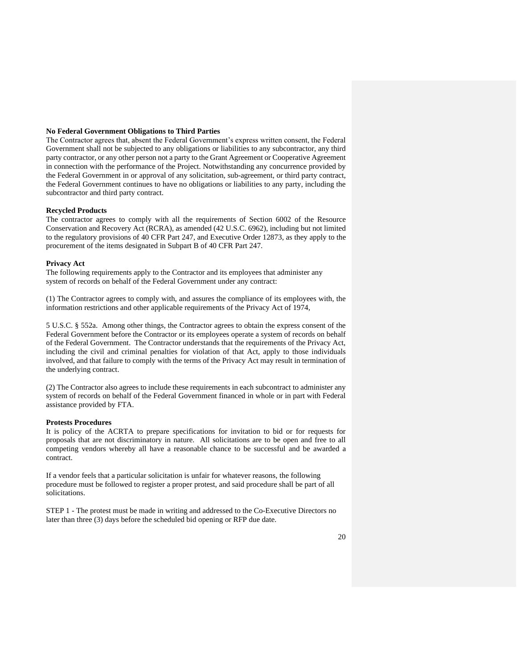### <span id="page-19-0"></span>**No Federal Government Obligations to Third Parties**

The Contractor agrees that, absent the Federal Government's express written consent, the Federal Government shall not be subjected to any obligations or liabilities to any subcontractor, any third party contractor, or any other person not a party to the Grant Agreement or Cooperative Agreement in connection with the performance of the Project. Notwithstanding any concurrence provided by the Federal Government in or approval of any solicitation, sub-agreement, or third party contract, the Federal Government continues to have no obligations or liabilities to any party, including the subcontractor and third party contract.

#### <span id="page-19-1"></span>**Recycled Products**

The contractor agrees to comply with all the requirements of Section 6002 of the Resource Conservation and Recovery Act (RCRA), as amended (42 U.S.C. 6962), including but not limited to the regulatory provisions of 40 CFR Part 247, and Executive Order 12873, as they apply to the procurement of the items designated in Subpart B of 40 CFR Part 247.

#### <span id="page-19-2"></span>**Privacy Act**

The following requirements apply to the Contractor and its employees that administer any system of records on behalf of the Federal Government under any contract:

(1) The Contractor agrees to comply with, and assures the compliance of its employees with, the information restrictions and other applicable requirements of the Privacy Act of 1974,

5 U.S.C. § 552a. Among other things, the Contractor agrees to obtain the express consent of the Federal Government before the Contractor or its employees operate a system of records on behalf of the Federal Government. The Contractor understands that the requirements of the Privacy Act, including the civil and criminal penalties for violation of that Act, apply to those individuals involved, and that failure to comply with the terms of the Privacy Act may result in termination of the underlying contract.

(2) The Contractor also agrees to include these requirements in each subcontract to administer any system of records on behalf of the Federal Government financed in whole or in part with Federal assistance provided by FTA.

#### <span id="page-19-3"></span>**Protests Procedures**

It is policy of the ACRTA to prepare specifications for invitation to bid or for requests for proposals that are not discriminatory in nature. All solicitations are to be open and free to all competing vendors whereby all have a reasonable chance to be successful and be awarded a contract.

If a vendor feels that a particular solicitation is unfair for whatever reasons, the following procedure must be followed to register a proper protest, and said procedure shall be part of all solicitations.

STEP 1 - The protest must be made in writing and addressed to the Co-Executive Directors no later than three (3) days before the scheduled bid opening or RFP due date.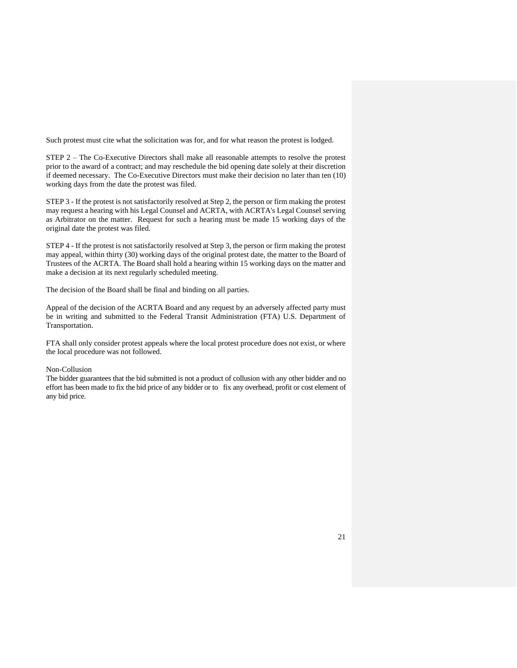Such protest must cite what the solicitation was for, and for what reason the protest is lodged.

STEP 2 – The Co-Executive Directors shall make all reasonable attempts to resolve the protest prior to the award of a contract; and may reschedule the bid opening date solely at their discretion if deemed necessary. The Co-Executive Directors must make their decision no later than ten (10) working days from the date the protest was filed.

STEP 3 - If the protest is not satisfactorily resolved at Step 2, the person or firm making the protest may request a hearing with his Legal Counsel and ACRTA, with ACRTA's Legal Counsel serving as Arbitrator on the matter. Request for such a hearing must be made 15 working days of the original date the protest was filed.

STEP 4 - If the protest is not satisfactorily resolved at Step 3, the person or firm making the protest may appeal, within thirty (30) working days of the original protest date, the matter to the Board of Trustees of the ACRTA. The Board shall hold a hearing within 15 working days on the matter and make a decision at its next regularly scheduled meeting.

The decision of the Board shall be final and binding on all parties.

Appeal of the decision of the ACRTA Board and any request by an adversely affected party must be in writing and submitted to the Federal Transit Administration (FTA) U.S. Department of Transportation.

FTA shall only consider protest appeals where the local protest procedure does not exist, or where the local procedure was not followed.

#### <span id="page-20-0"></span>Non-Collusion

<span id="page-20-1"></span>The bidder guarantees that the bid submitted is not a product of collusion with any other bidder and no effort has been made to fix the bid price of any bidder or to fix any overhead, profit or cost element of any bid price.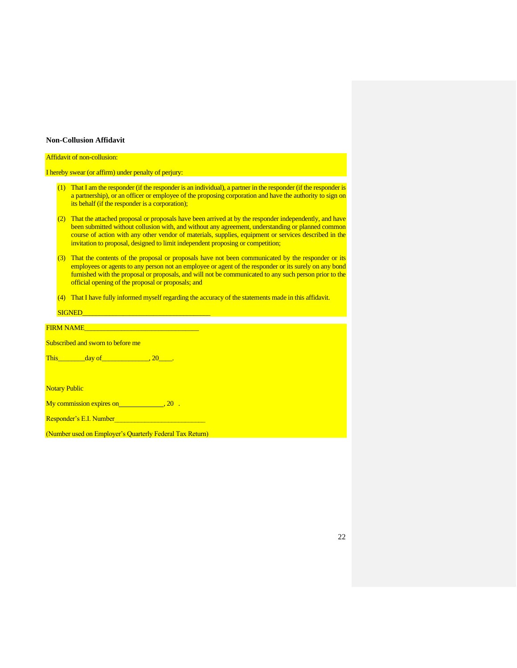#### **Non-Collusion Affidavit**

#### Affidavit of non-collusion:

I hereby swear (or affirm) under penalty of perjury:

- (1) That I am the responder (if the responder is an individual), a partner in the responder (if the responder is a partnership), or an officer or employee of the proposing corporation and have the authority to sign on its behalf (if the responder is a corporation);
- (2) That the attached proposal or proposals have been arrived at by the responder independently, and have been submitted without collusion with, and without any agreement, understanding or planned common course of action with any other vendor of materials, supplies, equipment or services described in the invitation to proposal, designed to limit independent proposing or competition;
- (3) That the contents of the proposal or proposals have not been communicated by the responder or its employees or agents to any person not an employee or agent of the responder or its surely on any bond furnished with the proposal or proposals, and will not be communicated to any such person prior to the official opening of the proposal or proposals; and
- (4) That I have fully informed myself regarding the accuracy of the statements made in this affidavit.

FIRM NAME

Subscribed and sworn to before me

This\_\_\_\_\_\_\_\_\_\_\_\_day of\_\_\_\_\_\_\_\_\_\_\_\_\_\_\_\_\_\_\_\_\_, 20\_\_\_\_\_\_.

Notary Public

My commission expires on , 20 .

Responder's E.I. Number

(Number used on Employer's Quarterly Federal Tax Return)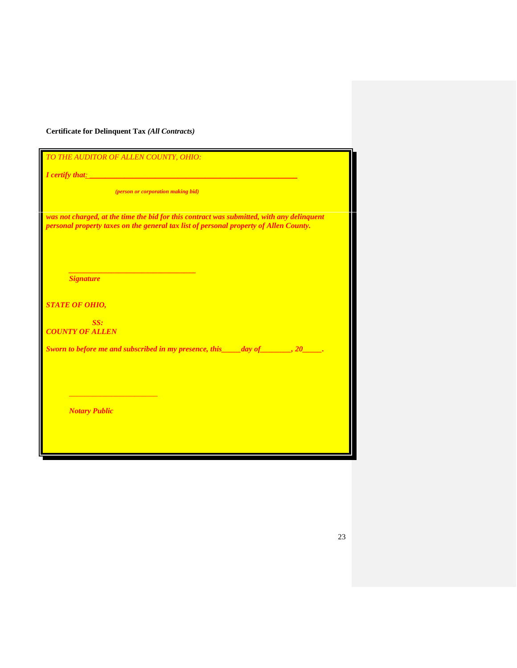## <span id="page-22-0"></span>**Certificate for Delinquent Tax** *(All Contracts)*

*TO THE AUDITOR OF ALLEN COUNTY, OHIO:*

*\_\_\_\_\_\_\_\_\_\_\_\_\_\_\_\_\_\_\_\_\_\_\_\_\_\_\_\_\_\_\_\_\_*

*<i>I* certify that<sub>*:*</sub>

*(person or corporation making bid)*

was not charged, at the time the bid for this contract was submitted, with any delinquent *personal property taxes on the general tax list of personal property of Allen County.*

*Signature*

*STATE OF OHIO,*

*SS: COUNTY OF ALLEN*

*Sworn to before me and subscribed in my presence, this\_\_\_\_\_day of\_\_\_\_\_\_\_\_, 20\_\_\_\_\_.*

*Notary Public*

*\_\_\_\_\_\_\_\_\_\_\_\_\_\_\_\_\_\_\_\_\_\_\_*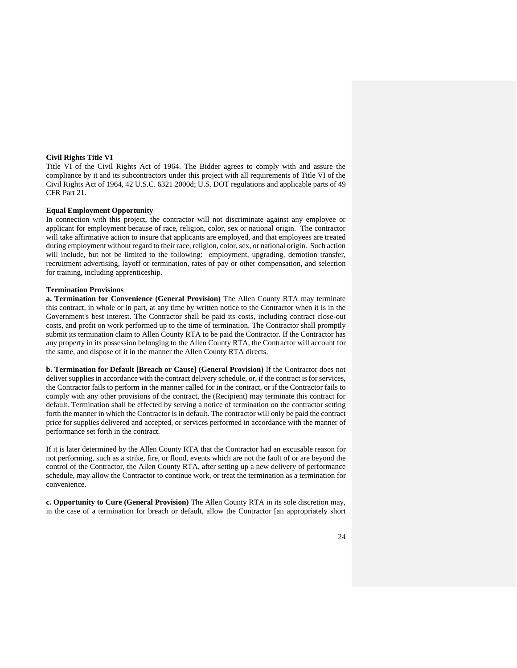#### <span id="page-23-0"></span>**Civil Rights Title VI**

Title VI of the Civil Rights Act of 1964. The Bidder agrees to comply with and assure the compliance by it and its subcontractors under this project with all requirements of Title VI of the Civil Rights Act of 1964, 42 U.S.C. 6321 2000d; U.S. DOT regulations and applicable parts of 49 CFR Part 21.

#### <span id="page-23-1"></span>**Equal Employment Opportunity**

In connection with this project, the contractor will not discriminate against any employee or applicant for employment because of race, religion, color, sex or national origin. The contractor will take affirmative action to insure that applicants are employed, and that employees are treated during employment without regard to their race, religion, color, sex, or national origin. Such action will include, but not be limited to the following: employment, upgrading, demotion transfer, recruitment advertising, layoff or termination, rates of pay or other compensation, and selection for training, including apprenticeship.

#### <span id="page-23-2"></span>**Termination Provisions**

**a. Termination for Convenience (General Provision)** The Allen County RTA may terminate this contract, in whole or in part, at any time by written notice to the Contractor when it is in the Government's best interest. The Contractor shall be paid its costs, including contract close-out costs, and profit on work performed up to the time of termination. The Contractor shall promptly submit its termination claim to Allen County RTA to be paid the Contractor. If the Contractor has any property in its possession belonging to the Allen County RTA, the Contractor will account for the same, and dispose of it in the manner the Allen County RTA directs.

**b. Termination for Default [Breach or Cause] (General Provision)** If the Contractor does not deliver supplies in accordance with the contract delivery schedule, or, if the contract is for services, the Contractor fails to perform in the manner called for in the contract, or if the Contractor fails to comply with any other provisions of the contract, the (Recipient) may terminate this contract for default. Termination shall be effected by serving a notice of termination on the contractor setting forth the manner in which the Contractor is in default. The contractor will only be paid the contract price for supplies delivered and accepted, or services performed in accordance with the manner of performance set forth in the contract.

If it is later determined by the Allen County RTA that the Contractor had an excusable reason for not performing, such as a strike, fire, or flood, events which are not the fault of or are beyond the control of the Contractor, the Allen County RTA, after setting up a new delivery of performance schedule, may allow the Contractor to continue work, or treat the termination as a termination for convenience.

**c. Opportunity to Cure (General Provision)** The Allen County RTA in its sole discretion may, in the case of a termination for breach or default, allow the Contractor [an appropriately short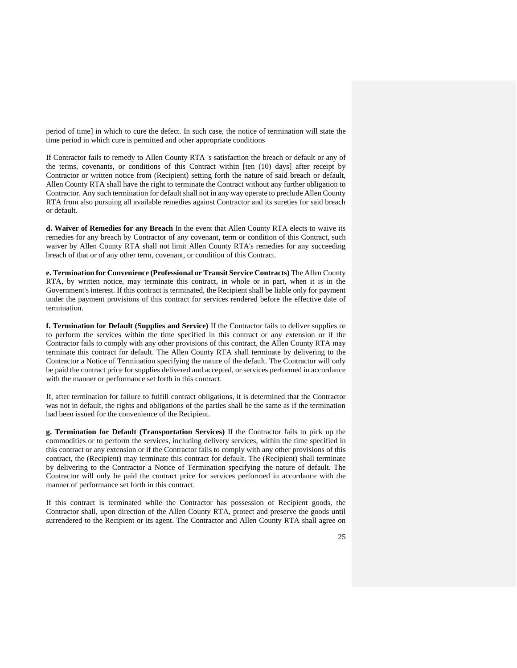period of time] in which to cure the defect. In such case, the notice of termination will state the time period in which cure is permitted and other appropriate conditions

If Contractor fails to remedy to Allen County RTA 's satisfaction the breach or default or any of the terms, covenants, or conditions of this Contract within [ten (10) days] after receipt by Contractor or written notice from (Recipient) setting forth the nature of said breach or default, Allen County RTA shall have the right to terminate the Contract without any further obligation to Contractor. Any such termination for default shall not in any way operate to preclude Allen County RTA from also pursuing all available remedies against Contractor and its sureties for said breach or default.

**d. Waiver of Remedies for any Breach** In the event that Allen County RTA elects to waive its remedies for any breach by Contractor of any covenant, term or condition of this Contract, such waiver by Allen County RTA shall not limit Allen County RTA's remedies for any succeeding breach of that or of any other term, covenant, or condition of this Contract.

**e. Termination for Convenience (Professional or Transit Service Contracts)** The Allen County RTA, by written notice, may terminate this contract, in whole or in part, when it is in the Government's interest. If this contract is terminated, the Recipient shall be liable only for payment under the payment provisions of this contract for services rendered before the effective date of termination.

**f. Termination for Default (Supplies and Service)** If the Contractor fails to deliver supplies or to perform the services within the time specified in this contract or any extension or if the Contractor fails to comply with any other provisions of this contract, the Allen County RTA may terminate this contract for default. The Allen County RTA shall terminate by delivering to the Contractor a Notice of Termination specifying the nature of the default. The Contractor will only be paid the contract price for supplies delivered and accepted, or services performed in accordance with the manner or performance set forth in this contract.

If, after termination for failure to fulfill contract obligations, it is determined that the Contractor was not in default, the rights and obligations of the parties shall be the same as if the termination had been issued for the convenience of the Recipient.

**g. Termination for Default (Transportation Services)** If the Contractor fails to pick up the commodities or to perform the services, including delivery services, within the time specified in this contract or any extension or if the Contractor fails to comply with any other provisions of this contract, the (Recipient) may terminate this contract for default. The (Recipient) shall terminate by delivering to the Contractor a Notice of Termination specifying the nature of default. The Contractor will only be paid the contract price for services performed in accordance with the manner of performance set forth in this contract.

If this contract is terminated while the Contractor has possession of Recipient goods, the Contractor shall, upon direction of the Allen County RTA, protect and preserve the goods until surrendered to the Recipient or its agent. The Contractor and Allen County RTA shall agree on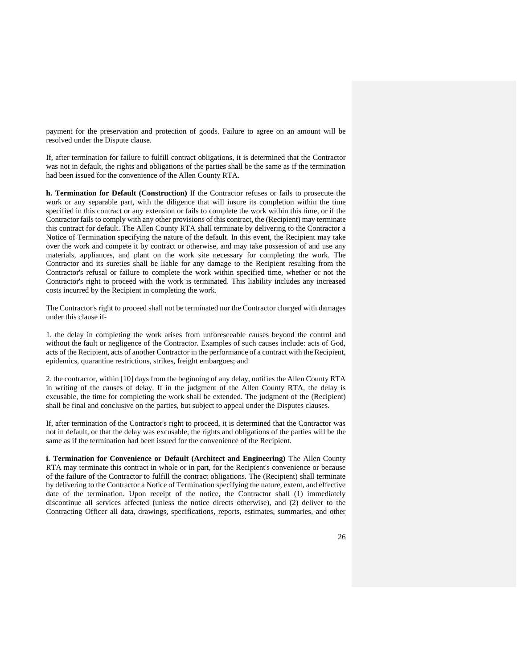payment for the preservation and protection of goods. Failure to agree on an amount will be resolved under the Dispute clause.

If, after termination for failure to fulfill contract obligations, it is determined that the Contractor was not in default, the rights and obligations of the parties shall be the same as if the termination had been issued for the convenience of the Allen County RTA.

**h. Termination for Default (Construction)** If the Contractor refuses or fails to prosecute the work or any separable part, with the diligence that will insure its completion within the time specified in this contract or any extension or fails to complete the work within this time, or if the Contractor fails to comply with any other provisions of this contract, the (Recipient) may terminate this contract for default. The Allen County RTA shall terminate by delivering to the Contractor a Notice of Termination specifying the nature of the default. In this event, the Recipient may take over the work and compete it by contract or otherwise, and may take possession of and use any materials, appliances, and plant on the work site necessary for completing the work. The Contractor and its sureties shall be liable for any damage to the Recipient resulting from the Contractor's refusal or failure to complete the work within specified time, whether or not the Contractor's right to proceed with the work is terminated. This liability includes any increased costs incurred by the Recipient in completing the work.

The Contractor's right to proceed shall not be terminated nor the Contractor charged with damages under this clause if-

1. the delay in completing the work arises from unforeseeable causes beyond the control and without the fault or negligence of the Contractor. Examples of such causes include: acts of God, acts of the Recipient, acts of another Contractor in the performance of a contract with the Recipient, epidemics, quarantine restrictions, strikes, freight embargoes; and

2. the contractor, within [10] days from the beginning of any delay, notifies the Allen County RTA in writing of the causes of delay. If in the judgment of the Allen County RTA, the delay is excusable, the time for completing the work shall be extended. The judgment of the (Recipient) shall be final and conclusive on the parties, but subject to appeal under the Disputes clauses.

If, after termination of the Contractor's right to proceed, it is determined that the Contractor was not in default, or that the delay was excusable, the rights and obligations of the parties will be the same as if the termination had been issued for the convenience of the Recipient.

**i. Termination for Convenience or Default (Architect and Engineering)** The Allen County RTA may terminate this contract in whole or in part, for the Recipient's convenience or because of the failure of the Contractor to fulfill the contract obligations. The (Recipient) shall terminate by delivering to the Contractor a Notice of Termination specifying the nature, extent, and effective date of the termination. Upon receipt of the notice, the Contractor shall (1) immediately discontinue all services affected (unless the notice directs otherwise), and (2) deliver to the Contracting Officer all data, drawings, specifications, reports, estimates, summaries, and other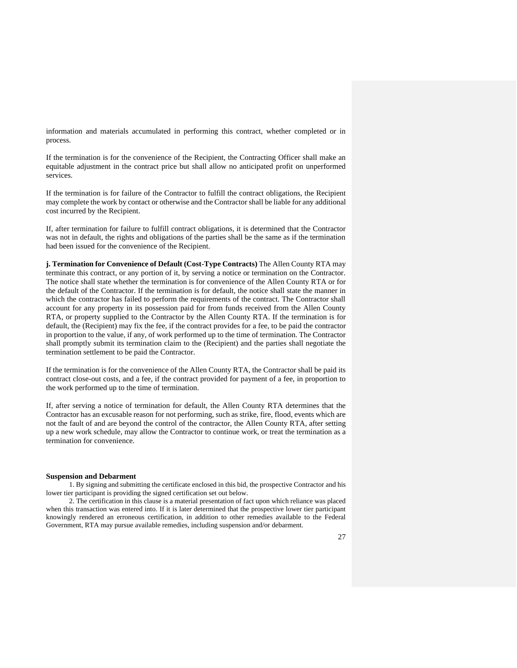information and materials accumulated in performing this contract, whether completed or in process.

If the termination is for the convenience of the Recipient, the Contracting Officer shall make an equitable adjustment in the contract price but shall allow no anticipated profit on unperformed services.

If the termination is for failure of the Contractor to fulfill the contract obligations, the Recipient may complete the work by contact or otherwise and the Contractor shall be liable for any additional cost incurred by the Recipient.

If, after termination for failure to fulfill contract obligations, it is determined that the Contractor was not in default, the rights and obligations of the parties shall be the same as if the termination had been issued for the convenience of the Recipient.

**j. Termination for Convenience of Default (Cost-Type Contracts)** The Allen County RTA may terminate this contract, or any portion of it, by serving a notice or termination on the Contractor. The notice shall state whether the termination is for convenience of the Allen County RTA or for the default of the Contractor. If the termination is for default, the notice shall state the manner in which the contractor has failed to perform the requirements of the contract. The Contractor shall account for any property in its possession paid for from funds received from the Allen County RTA, or property supplied to the Contractor by the Allen County RTA. If the termination is for default, the (Recipient) may fix the fee, if the contract provides for a fee, to be paid the contractor in proportion to the value, if any, of work performed up to the time of termination. The Contractor shall promptly submit its termination claim to the (Recipient) and the parties shall negotiate the termination settlement to be paid the Contractor.

If the termination is for the convenience of the Allen County RTA, the Contractor shall be paid its contract close-out costs, and a fee, if the contract provided for payment of a fee, in proportion to the work performed up to the time of termination.

If, after serving a notice of termination for default, the Allen County RTA determines that the Contractor has an excusable reason for not performing, such as strike, fire, flood, events which are not the fault of and are beyond the control of the contractor, the Allen County RTA, after setting up a new work schedule, may allow the Contractor to continue work, or treat the termination as a termination for convenience.

#### <span id="page-26-0"></span>**Suspension and Debarment**

1. By signing and submitting the certificate enclosed in this bid, the prospective Contractor and his lower tier participant is providing the signed certification set out below.

2. The certification in this clause is a material presentation of fact upon which reliance was placed when this transaction was entered into. If it is later determined that the prospective lower tier participant knowingly rendered an erroneous certification, in addition to other remedies available to the Federal Government, RTA may pursue available remedies, including suspension and/or debarment.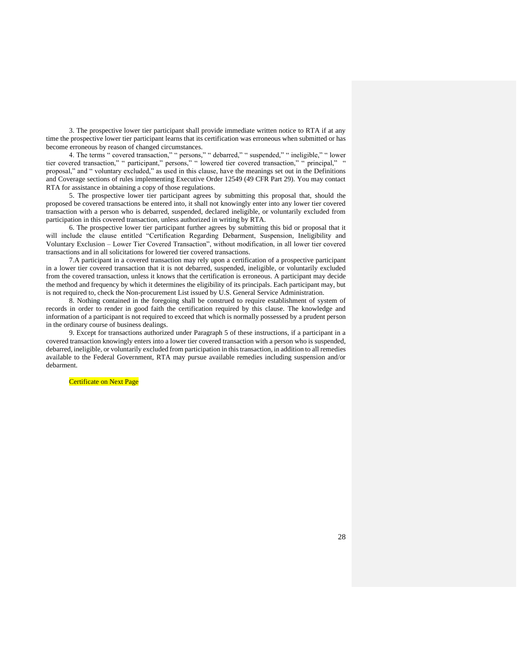3. The prospective lower tier participant shall provide immediate written notice to RTA if at any time the prospective lower tier participant learns that its certification was erroneous when submitted or has become erroneous by reason of changed circumstances.

4. The terms " covered transaction," " persons," " debarred," " suspended," " ineligible," " lower tier covered transaction," " participant," persons," " lowered tier covered transaction," " principal," " proposal," and " voluntary excluded," as used in this clause, have the meanings set out in the Definitions and Coverage sections of rules implementing Executive Order 12549 (49 CFR Part 29). You may contact RTA for assistance in obtaining a copy of those regulations.

5. The prospective lower tier participant agrees by submitting this proposal that, should the proposed be covered transactions be entered into, it shall not knowingly enter into any lower tier covered transaction with a person who is debarred, suspended, declared ineligible, or voluntarily excluded from participation in this covered transaction, unless authorized in writing by RTA.

6. The prospective lower tier participant further agrees by submitting this bid or proposal that it will include the clause entitled "Certification Regarding Debarment, Suspension, Ineligibility and Voluntary Exclusion – Lower Tier Covered Transaction", without modification, in all lower tier covered transactions and in all solicitations for lowered tier covered transactions.

7.A participant in a covered transaction may rely upon a certification of a prospective participant in a lower tier covered transaction that it is not debarred, suspended, ineligible, or voluntarily excluded from the covered transaction, unless it knows that the certification is erroneous. A participant may decide the method and frequency by which it determines the eligibility of its principals. Each participant may, but is not required to, check the Non-procurement List issued by U.S. General Service Administration.

8. Nothing contained in the foregoing shall be construed to require establishment of system of records in order to render in good faith the certification required by this clause. The knowledge and information of a participant is not required to exceed that which is normally possessed by a prudent person in the ordinary course of business dealings.

9. Except for transactions authorized under Paragraph 5 of these instructions, if a participant in a covered transaction knowingly enters into a lower tier covered transaction with a person who is suspended, debarred, ineligible, or voluntarily excluded from participation in this transaction, in addition to all remedies available to the Federal Government, RTA may pursue available remedies including suspension and/or debarment.

Certificate on Next Page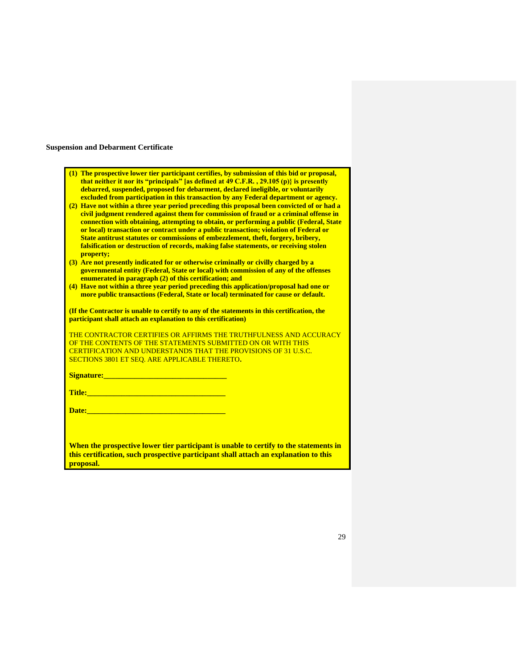## <span id="page-28-0"></span>**Suspension and Debarment Certificate**

| (1) The prospective lower tier participant certifies, by submission of this bid or proposal,<br>that neither it nor its "principals" [as defined at 49 C.F.R., 29.105 (p)} is presently<br>debarred, suspended, proposed for debarment, declared ineligible, or voluntarily<br>excluded from participation in this transaction by any Federal department or agency.<br>(2) Have not within a three year period preceding this proposal been convicted of or had a<br>civil judgment rendered against them for commission of fraud or a criminal offense in<br>connection with obtaining, attempting to obtain, or performing a public (Federal, State<br>or local) transaction or contract under a public transaction; violation of Federal or<br>State antitrust statutes or commissions of embezzlement, theft, forgery, bribery,<br>falsification or destruction of records, making false statements, or receiving stolen<br>property;<br>(3) Are not presently indicated for or otherwise criminally or civilly charged by a<br>governmental entity (Federal, State or local) with commission of any of the offenses<br>enumerated in paragraph (2) of this certification; and<br>(4) Have not within a three year period preceding this application/proposal had one or<br>more public transactions (Federal, State or local) terminated for cause or default.<br>(If the Contractor is unable to certify to any of the statements in this certification, the<br>participant shall attach an explanation to this certification) |
|--------------------------------------------------------------------------------------------------------------------------------------------------------------------------------------------------------------------------------------------------------------------------------------------------------------------------------------------------------------------------------------------------------------------------------------------------------------------------------------------------------------------------------------------------------------------------------------------------------------------------------------------------------------------------------------------------------------------------------------------------------------------------------------------------------------------------------------------------------------------------------------------------------------------------------------------------------------------------------------------------------------------------------------------------------------------------------------------------------------------------------------------------------------------------------------------------------------------------------------------------------------------------------------------------------------------------------------------------------------------------------------------------------------------------------------------------------------------------------------------------------------------------------------|
| THE CONTRACTOR CERTIFIES OR AFFIRMS THE TRUTHFULNESS AND ACCURACY                                                                                                                                                                                                                                                                                                                                                                                                                                                                                                                                                                                                                                                                                                                                                                                                                                                                                                                                                                                                                                                                                                                                                                                                                                                                                                                                                                                                                                                                    |
| OF THE CONTENTS OF THE STATEMENTS SUBMITTED ON OR WITH THIS                                                                                                                                                                                                                                                                                                                                                                                                                                                                                                                                                                                                                                                                                                                                                                                                                                                                                                                                                                                                                                                                                                                                                                                                                                                                                                                                                                                                                                                                          |
| <b>CERTIFICATION AND UNDERSTANDS THAT THE PROVISIONS OF 31 U.S.C.</b>                                                                                                                                                                                                                                                                                                                                                                                                                                                                                                                                                                                                                                                                                                                                                                                                                                                                                                                                                                                                                                                                                                                                                                                                                                                                                                                                                                                                                                                                |
| <b>SECTIONS 3801 ET SEO. ARE APPLICABLE THERETO.</b>                                                                                                                                                                                                                                                                                                                                                                                                                                                                                                                                                                                                                                                                                                                                                                                                                                                                                                                                                                                                                                                                                                                                                                                                                                                                                                                                                                                                                                                                                 |
| <b>Signature:</b> <i>Signature: Signature: Signature:</i> <b>Signature: Signature: Signature: Signature: Signature: Signature: Signature: Signature: Signature: Signature: Signature: Signature: Signature: </b>                                                                                                                                                                                                                                                                                                                                                                                                                                                                                                                                                                                                                                                                                                                                                                                                                                                                                                                                                                                                                                                                                                                                                                                                                                                                                                                     |
|                                                                                                                                                                                                                                                                                                                                                                                                                                                                                                                                                                                                                                                                                                                                                                                                                                                                                                                                                                                                                                                                                                                                                                                                                                                                                                                                                                                                                                                                                                                                      |
| Date: <b>Date: Exercise Service Services</b>                                                                                                                                                                                                                                                                                                                                                                                                                                                                                                                                                                                                                                                                                                                                                                                                                                                                                                                                                                                                                                                                                                                                                                                                                                                                                                                                                                                                                                                                                         |
|                                                                                                                                                                                                                                                                                                                                                                                                                                                                                                                                                                                                                                                                                                                                                                                                                                                                                                                                                                                                                                                                                                                                                                                                                                                                                                                                                                                                                                                                                                                                      |
|                                                                                                                                                                                                                                                                                                                                                                                                                                                                                                                                                                                                                                                                                                                                                                                                                                                                                                                                                                                                                                                                                                                                                                                                                                                                                                                                                                                                                                                                                                                                      |
| When the prospective lower tier participant is unable to certify to the statements in<br>this certification, such prospective participant shall attach an explanation to this<br>proposal.                                                                                                                                                                                                                                                                                                                                                                                                                                                                                                                                                                                                                                                                                                                                                                                                                                                                                                                                                                                                                                                                                                                                                                                                                                                                                                                                           |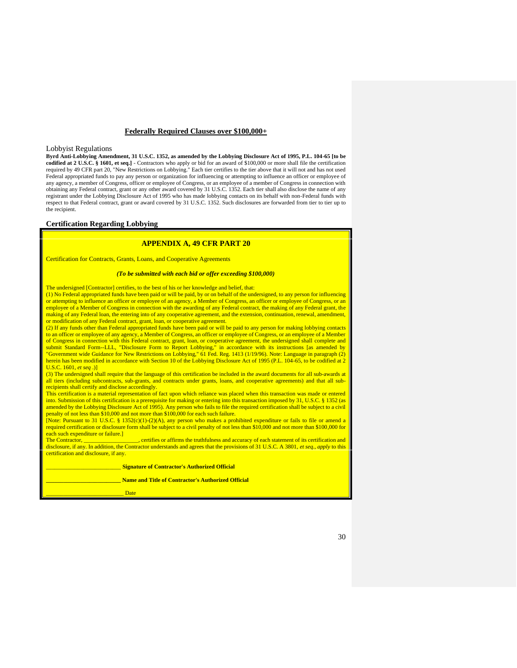#### **Federally Required Clauses over \$100,000+**

#### <span id="page-29-1"></span><span id="page-29-0"></span>Lobbyist Regulations

**Byrd Anti-Lobbying Amendment, 31 U.S.C. 1352, as amended by the Lobbying Disclosure Act of 1995, P.L. 104-65 [to be codified at 2 U.S.C. § 1601, et seq.]** - Contractors who apply or bid for an award of \$100,000 or more shall file the certification required by 49 CFR part 20, "New Restrictions on Lobbying." Each tier certifies to the tier above that it will not and has not used Federal appropriated funds to pay any person or organization for influencing or attempting to influence an officer or employee of any agency, a member of Congress, officer or employee of Congress, or an employee of a member of Congress in connection with obtaining any Federal contract, grant or any other award covered by 31 U.S.C. 1352. Each tier shall also disclose the name of any registrant under the Lobbying Disclosure Act of 1995 who has made lobbying contacts on its behalf with non-Federal funds with respect to that Federal contract, grant or award covered by 31 U.S.C. 1352. Such disclosures are forwarded from tier to tier up to the recipient.

#### <span id="page-29-2"></span>**Certification Regarding Lobbying**

### **APPENDIX A, 49 CFR PART 20**

Certification for Contracts, Grants, Loans, and Cooperative Agreements

#### *(To be submitted with each bid or offer exceeding \$100,000)*

The undersigned [Contractor] certifies, to the best of his or her knowledge and belief, that:

(1) No Federal appropriated funds have been paid or will be paid, by or on behalf of the undersigned, to any person for influencing or attempting to influence an officer or employee of an agency, a Member of Congress, an officer or employee of Congress, or an employee of a Member of Congress in connection with the awarding of any Federal contract, the making of any Federal grant, the making of any Federal loan, the entering into of any cooperative agreement, and the extension, continuation, renewal, amendment, or modification of any Federal contract, grant, loan, or cooperative agreement

(2) If any funds other than Federal appropriated funds have been paid or will be paid to any person for making lobbying contacts to an officer or employee of any agency, a Member of Congress, an officer or employee of Congress, or an employee of a Member of Congress in connection with this Federal contract, grant, loan, or cooperative agreement, the undersigned shall complete and<br>submit Standard Form--LLL, "Disclosure Form to Report Lobbying," in accordance with its instru "Government wide Guidance for New Restrictions on Lobbying," 61 Fed. Reg. 1413 (1/19/96). Note: Language in paragraph (2) herein has been modified in accordance with Section 10 of the Lobbying Disclosure Act of 1995 (P.L. 104-65, to be codified at 2 U.S.C. 1601, *et seq* .)]

(3) The undersigned shall require that the language of this certification be included in the award documents for all sub-awards at all tiers (including subcontracts, sub-grants, and contracts under grants, loans, and cooperative agreements) and that all subrecipients shall certify and disclose accordingly.

This certification is a material representation of fact upon which reliance was placed when this transaction was made or entered into. Submission of this certification is a prerequisite for making or entering into this transaction imposed by 31, U.S.C. § 1352 (as amended by the Lobbying Disclosure Act of 1995). Any person who fails to file the required certification shall be subject to a civil penalty of not less than \$10,000 and not more than \$100,000 for each such failure.

[Note: Pursuant to 31 U.S.C. § 1352(c)(1)-(2)(A), any person who makes a prohibited expenditure or fails to file or amend a required certification or disclosure form shall be subject to a civil penalty of not less than \$10,000 and not more than \$100,000 for each such expenditure or failure.]

The Contractor, \_\_\_\_\_\_\_\_\_\_\_\_\_\_\_\_\_\_\_, certifies or affirms the truthfulness and accuracy of each statement of its certification and disclosure, if any. In addition, the Contractor understands and agrees that the provisions of 31 U.S.C. A 3801, *et seq., apply* to this certification and disclosure, if any.

\_\_\_\_\_\_\_\_\_\_\_\_\_\_\_\_\_\_\_\_\_\_\_\_\_\_ **Signature of Contractor's Authorized Official \_\_\_\_\_\_\_\_\_\_\_\_\_\_\_\_\_\_\_\_\_\_\_\_\_\_ Name and Title of Contractor's Authorized Official** \_\_\_\_\_\_\_\_\_\_\_\_\_\_\_\_\_\_\_\_\_\_\_\_\_\_\_ Date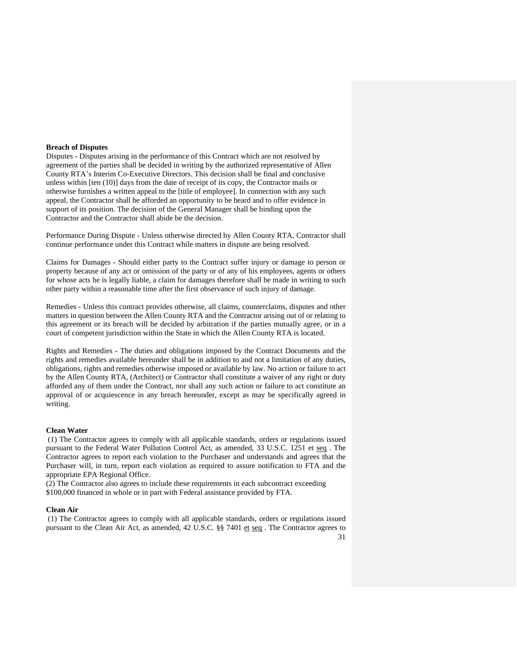#### <span id="page-30-0"></span>**Breach of Disputes**

Disputes - Disputes arising in the performance of this Contract which are not resolved by agreement of the parties shall be decided in writing by the authorized representative of Allen County RTA's Interim Co-Executive Directors. This decision shall be final and conclusive unless within [ten (10)] days from the date of receipt of its copy, the Contractor mails or otherwise furnishes a written appeal to the [title of employee]. In connection with any such appeal, the Contractor shall be afforded an opportunity to be heard and to offer evidence in support of its position. The decision of the General Manager shall be binding upon the Contractor and the Contractor shall abide be the decision.

Performance During Dispute - Unless otherwise directed by Allen County RTA, Contractor shall continue performance under this Contract while matters in dispute are being resolved.

Claims for Damages - Should either party to the Contract suffer injury or damage to person or property because of any act or omission of the party or of any of his employees, agents or others for whose acts he is legally liable, a claim for damages therefore shall be made in writing to such other party within a reasonable time after the first observance of such injury of damage.

Remedies - Unless this contract provides otherwise, all claims, counterclaims, disputes and other matters in question between the Allen County RTA and the Contractor arising out of or relating to this agreement or its breach will be decided by arbitration if the parties mutually agree, or in a court of competent jurisdiction within the State in which the Allen County RTA is located.

Rights and Remedies - The duties and obligations imposed by the Contract Documents and the rights and remedies available hereunder shall be in addition to and not a limitation of any duties, obligations, rights and remedies otherwise imposed or available by law. No action or failure to act by the Allen County RTA, (Architect) or Contractor shall constitute a waiver of any right or duty afforded any of them under the Contract, nor shall any such action or failure to act constitute an approval of or acquiescence in any breach hereunder, except as may be specifically agreed in writing.

#### <span id="page-30-1"></span>**Clean Water**

(1) The Contractor agrees to comply with all applicable standards, orders or regulations issued pursuant to the Federal Water Pollution Control Act, as amended, 33 U.S.C. 1251 et seq . The Contractor agrees to report each violation to the Purchaser and understands and agrees that the Purchaser will, in turn, report each violation as required to assure notification to FTA and the appropriate EPA Regional Office.

(2) The Contractor also agrees to include these requirements in each subcontract exceeding \$100,000 financed in whole or in part with Federal assistance provided by FTA.

#### <span id="page-30-2"></span>**Clean Air**

(1) The Contractor agrees to comply with all applicable standards, orders or regulations issued pursuant to the Clean Air Act, as amended, 42 U.S.C. §§ 7401 et seq . The Contractor agrees to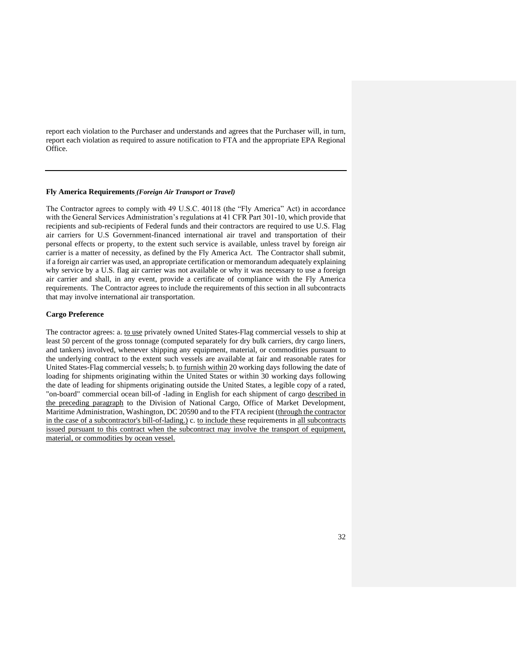report each violation to the Purchaser and understands and agrees that the Purchaser will, in turn, report each violation as required to assure notification to FTA and the appropriate EPA Regional Office.

#### <span id="page-31-0"></span>**Fly America Requirements** *(Foreign Air Transport or Travel)*

The Contractor agrees to comply with 49 U.S.C. 40118 (the "Fly America" Act) in accordance with the General Services Administration's regulations at 41 CFR Part 301-10, which provide that recipients and sub-recipients of Federal funds and their contractors are required to use U.S. Flag air carriers for U.S Government-financed international air travel and transportation of their personal effects or property, to the extent such service is available, unless travel by foreign air carrier is a matter of necessity, as defined by the Fly America Act. The Contractor shall submit, if a foreign air carrier was used, an appropriate certification or memorandum adequately explaining why service by a U.S. flag air carrier was not available or why it was necessary to use a foreign air carrier and shall, in any event, provide a certificate of compliance with the Fly America requirements. The Contractor agrees to include the requirements of this section in all subcontracts that may involve international air transportation.

### <span id="page-31-1"></span>**Cargo Preference**

The contractor agrees: a. to use privately owned United States-Flag commercial vessels to ship at least 50 percent of the gross tonnage (computed separately for dry bulk carriers, dry cargo liners, and tankers) involved, whenever shipping any equipment, material, or commodities pursuant to the underlying contract to the extent such vessels are available at fair and reasonable rates for United States-Flag commercial vessels; b. to furnish within 20 working days following the date of loading for shipments originating within the United States or within 30 working days following the date of leading for shipments originating outside the United States, a legible copy of a rated, "on-board" commercial ocean bill-of -lading in English for each shipment of cargo described in the preceding paragraph to the Division of National Cargo, Office of Market Development, Maritime Administration, Washington, DC 20590 and to the FTA recipient (through the contractor in the case of a subcontractor's bill-of-lading.) c. to include these requirements in all subcontracts issued pursuant to this contract when the subcontract may involve the transport of equipment, material, or commodities by ocean vessel.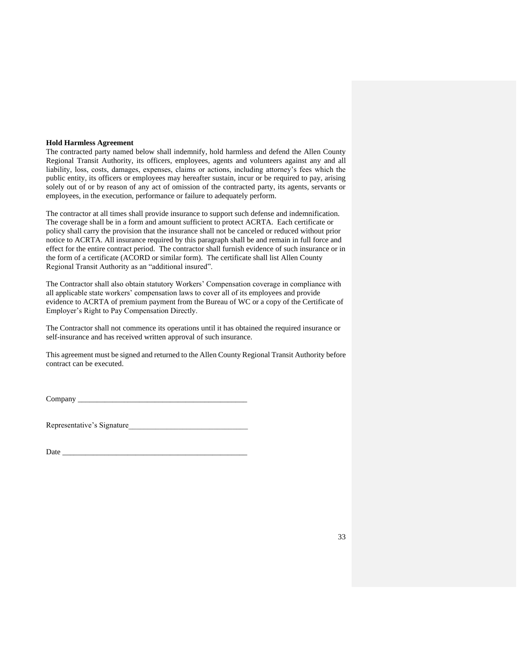#### <span id="page-32-0"></span>**Hold Harmless Agreement**

The contracted party named below shall indemnify, hold harmless and defend the Allen County Regional Transit Authority, its officers, employees, agents and volunteers against any and all liability, loss, costs, damages, expenses, claims or actions, including attorney's fees which the public entity, its officers or employees may hereafter sustain, incur or be required to pay, arising solely out of or by reason of any act of omission of the contracted party, its agents, servants or employees, in the execution, performance or failure to adequately perform.

The contractor at all times shall provide insurance to support such defense and indemnification. The coverage shall be in a form and amount sufficient to protect ACRTA. Each certificate or policy shall carry the provision that the insurance shall not be canceled or reduced without prior notice to ACRTA. All insurance required by this paragraph shall be and remain in full force and effect for the entire contract period. The contractor shall furnish evidence of such insurance or in the form of a certificate (ACORD or similar form). The certificate shall list Allen County Regional Transit Authority as an "additional insured".

The Contractor shall also obtain statutory Workers' Compensation coverage in compliance with all applicable state workers' compensation laws to cover all of its employees and provide evidence to ACRTA of premium payment from the Bureau of WC or a copy of the Certificate of Employer's Right to Pay Compensation Directly.

The Contractor shall not commence its operations until it has obtained the required insurance or self-insurance and has received written approval of such insurance.

This agreement must be signed and returned to the Allen County Regional Transit Authority before contract can be executed.

Company \_\_\_\_\_\_\_\_\_\_\_\_\_\_\_\_\_\_\_\_\_\_\_\_\_\_\_\_\_\_\_\_\_\_\_\_\_\_\_\_\_\_\_\_

Representative's Signature

Date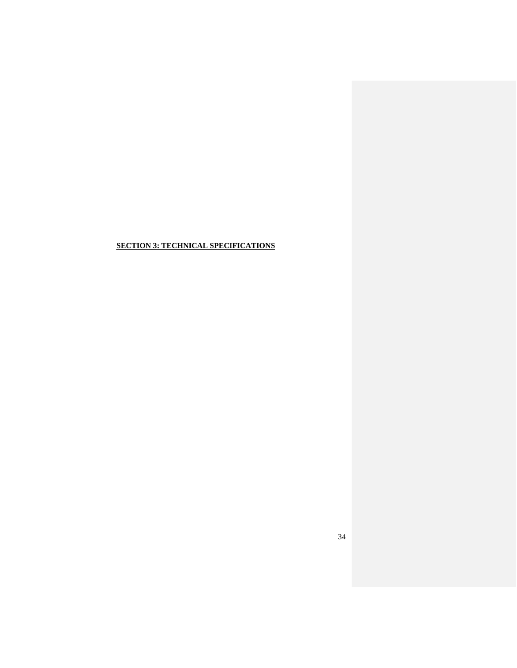## <span id="page-33-0"></span>**SECTION 3: TECHNICAL SPECIFICATIONS**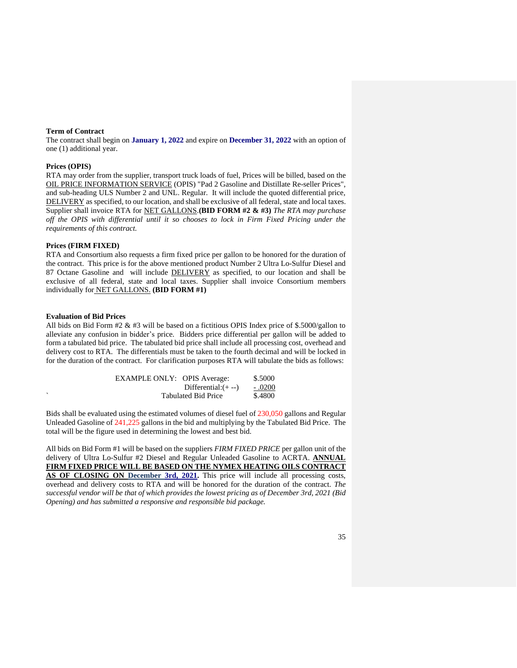#### <span id="page-34-0"></span>**Term of Contract**

The contract shall begin on **January 1, 2022** and expire on **December 31, 2022** with an option of one (1) additional year.

#### <span id="page-34-1"></span>**Prices (OPIS)**

RTA may order from the supplier, transport truck loads of fuel, Prices will be billed, based on the OIL PRICE INFORMATION SERVICE (OPIS) "Pad 2 Gasoline and Distillate Re-seller Prices", and sub-heading ULS Number 2 and UNL. Regular. It will include the quoted differential price, DELIVERY as specified, to our location, and shall be exclusive of all federal, state and local taxes. Supplier shall invoice RTA for NET GALLONS.**(BID FORM #2 & #3)** *The RTA may purchase off the OPIS with differential until it so chooses to lock in Firm Fixed Pricing under the requirements of this contract.*

### <span id="page-34-2"></span>**Prices (FIRM FIXED)**

RTA and Consortium also requests a firm fixed price per gallon to be honored for the duration of the contract. This price is for the above mentioned product Number 2 Ultra Lo-Sulfur Diesel and 87 Octane Gasoline and will include **DELIVERY** as specified, to our location and shall be exclusive of all federal, state and local taxes. Supplier shall invoice Consortium members individually for NET GALLONS. **(BID FORM #1)**

#### <span id="page-34-3"></span>**Evaluation of Bid Prices**

All bids on Bid Form  $#2 \& #3$  will be based on a fictitious OPIS Index price of \$.5000/gallon to alleviate any confusion in bidder's price. Bidders price differential per gallon will be added to form a tabulated bid price. The tabulated bid price shall include all processing cost, overhead and delivery cost to RTA. The differentials must be taken to the fourth decimal and will be locked in for the duration of the contract. For clarification purposes RTA will tabulate the bids as follows:

| <b>EXAMPLE ONLY: OPIS Average:</b> |                            | \$.5000 |
|------------------------------------|----------------------------|---------|
|                                    | $Differential: (+ -)$      | - .0200 |
|                                    | <b>Tabulated Bid Price</b> | \$.4800 |

Bids shall be evaluated using the estimated volumes of diesel fuel of 230,050 gallons and Regular Unleaded Gasoline of 241,225 gallons in the bid and multiplying by the Tabulated Bid Price. The total will be the figure used in determining the lowest and best bid.

All bids on Bid Form #1 will be based on the suppliers *FIRM FIXED PRICE* per gallon unit of the delivery of Ultra Lo-Sulfur #2 Diesel and Regular Unleaded Gasoline to ACRTA. **ANNUAL FIRM FIXED PRICE WILL BE BASED ON THE NYMEX HEATING OILS CONTRACT AS OF CLOSING ON December 3rd, 2021.** This price will include all processing costs, overhead and delivery costs to RTA and will be honored for the duration of the contract. *The successful vendor will be that of which provides the lowest pricing as of December 3rd, 2021 (Bid Opening) and has submitted a responsive and responsible bid package.*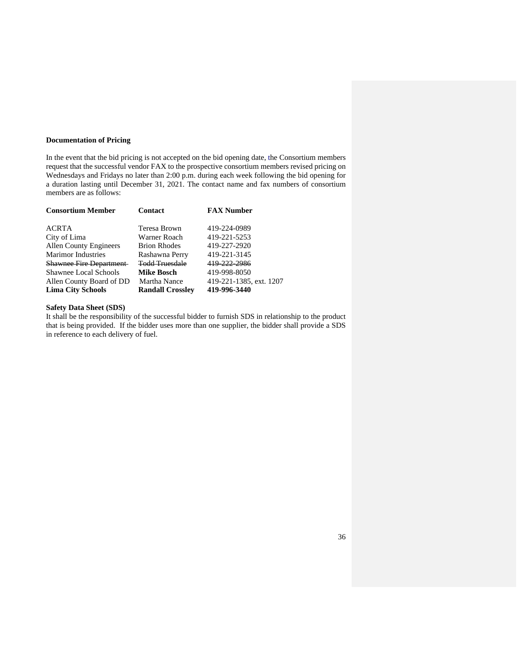#### <span id="page-35-0"></span>**Documentation of Pricing**

In the event that the bid pricing is not accepted on the bid opening date, the Consortium members request that the successful vendor FAX to the prospective consortium members revised pricing on Wednesdays and Fridays no later than 2:00 p.m. during each week following the bid opening for a duration lasting until December 31, 2021. The contact name and fax numbers of consortium members are as follows:

<span id="page-35-1"></span>

| <b>Consortium Member</b>       | <b>Contact</b>          | <b>FAX Number</b>       |
|--------------------------------|-------------------------|-------------------------|
| ACRTA                          | Teresa Brown            | 419-224-0989            |
| City of Lima                   | Warner Roach            | 419-221-5253            |
| <b>Allen County Engineers</b>  | <b>Brion Rhodes</b>     | 419-227-2920            |
| <b>Marimor Industries</b>      | Rashawna Perry          | 419-221-3145            |
| <b>Shawnee Fire Department</b> | Todd Truesdale          | 419-222-2986            |
| <b>Shawnee Local Schools</b>   | <b>Mike Bosch</b>       | 419-998-8050            |
| Allen County Board of DD       | Martha Nance            | 419-221-1385, ext. 1207 |
| <b>Lima City Schools</b>       | <b>Randall Crosslev</b> | 419-996-3440            |

## **Safety Data Sheet (SDS)**

It shall be the responsibility of the successful bidder to furnish SDS in relationship to the product that is being provided. If the bidder uses more than one supplier, the bidder shall provide a SDS in reference to each delivery of fuel.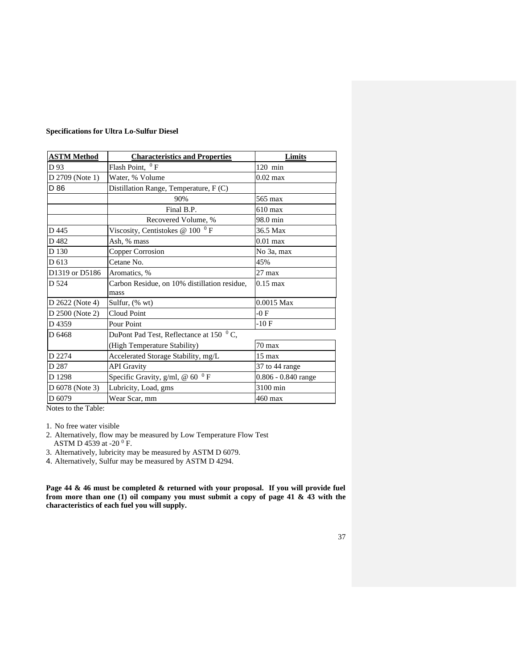| <b>ASTM Method</b> | <b>Characteristics and Properties</b>                | Limits              |
|--------------------|------------------------------------------------------|---------------------|
| D 93               | Flash Point, ${}^{0}$ F                              | $120$ min           |
| D 2709 (Note 1)    | Water, % Volume                                      | $0.02$ max          |
| D 86               | Distillation Range, Temperature, F (C)               |                     |
|                    | 90%                                                  | 565 max             |
|                    | Final B.P.                                           | $610 \text{ max}$   |
|                    | Recovered Volume, %                                  | 98.0 min            |
| D 445              | Viscosity, Centistokes @ $1000$ F                    | 36.5 Max            |
| D482               | Ash, % mass                                          | $0.01$ max          |
| D 130              | Copper Corrosion                                     | No 3a, max          |
| D 613              | Cetane No.                                           | 45%                 |
| D1319 or D5186     | Aromatics, %                                         | $27$ max            |
| D 524              | Carbon Residue, on 10% distillation residue,<br>mass | $0.15 \text{ max}$  |
| D 2622 (Note 4)    | Sulfur, (% wt)                                       | $0.0015$ Max        |
| D 2500 (Note 2)    | Cloud Point                                          | $-0F$               |
| D4359              | Pour Point                                           | $-10F$              |
| D 6468             | DuPont Pad Test, Reflectance at 150 °C,              |                     |
|                    | (High Temperature Stability)                         | $70 \text{ max}$    |
| D 2274             | Accelerated Storage Stability, mg/L                  | 15 max              |
| D 287              | <b>API</b> Gravity                                   | 37 to 44 range      |
| D 1298             | Specific Gravity, $g/ml$ , @ 60 <sup>0</sup> F       | 0.806 - 0.840 range |
| D 6078 (Note 3)    | Lubricity, Load, gms                                 | 3100 min            |
| D 6079             | Wear Scar, mm                                        | 460 max             |

Notes to the Table:

1. No free water visible

- 2. Alternatively, flow may be measured by Low Temperature Flow Test
- ASTM D 4539 at -20 $^{0}$  F.

3. Alternatively, lubricity may be measured by ASTM D 6079.

4. Alternatively, Sulfur may be measured by ASTM D 4294.

**Page 44 & 46 must be completed & returned with your proposal. If you will provide fuel from more than one (1) oil company you must submit a copy of page 41 & 43 with the characteristics of each fuel you will supply.**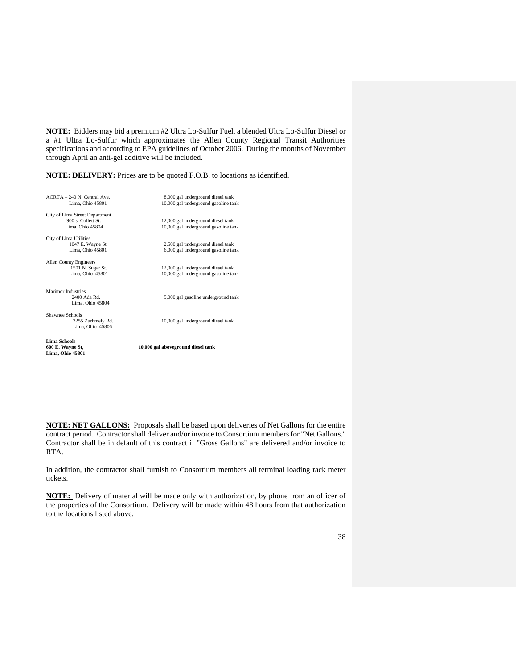**NOTE:** Bidders may bid a premium #2 Ultra Lo-Sulfur Fuel, a blended Ultra Lo-Sulfur Diesel or a #1 Ultra Lo-Sulfur which approximates the Allen County Regional Transit Authorities specifications and according to EPA guidelines of October 2006. During the months of November through April an anti-gel additive will be included.

**NOTE: DELIVERY:** Prices are to be quoted F.O.B. to locations as identified.

| 8,000 gal underground diesel tank    |
|--------------------------------------|
| 10,000 gal underground gasoline tank |
|                                      |
|                                      |
| 12,000 gal underground diesel tank   |
| 10,000 gal underground gasoline tank |
|                                      |
| 2,500 gal underground diesel tank    |
| 6,000 gal underground gasoline tank  |
|                                      |
|                                      |
| 12,000 gal underground diesel tank   |
| 10,000 gal underground gasoline tank |
|                                      |
|                                      |
| 5,000 gal gasoline underground tank  |
|                                      |
|                                      |
|                                      |
| 10,000 gal underground diesel tank   |
|                                      |
|                                      |
|                                      |
| 10,000 gal aboveground diesel tank   |
|                                      |
|                                      |

**NOTE: NET GALLONS:** Proposals shall be based upon deliveries of Net Gallons for the entire contract period. Contractor shall deliver and/or invoice to Consortium members for "Net Gallons." Contractor shall be in default of this contract if "Gross Gallons" are delivered and/or invoice to RTA.

In addition, the contractor shall furnish to Consortium members all terminal loading rack meter tickets.

**NOTE:** Delivery of material will be made only with authorization, by phone from an officer of the properties of the Consortium. Delivery will be made within 48 hours from that authorization to the locations listed above.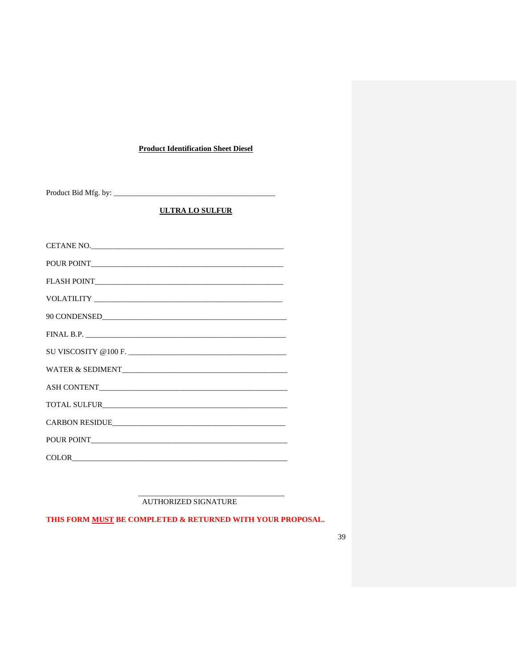## **Product Identification Sheet Diesel**

<span id="page-38-0"></span>

## **ULTRA LO SULFUR**

| POUR POINT |
|------------|
|            |
|            |
|            |
|            |
|            |
|            |
|            |
|            |
|            |
|            |
|            |

AUTHORIZED SIGNATURE

THIS FORM MUST BE COMPLETED & RETURNED WITH YOUR PROPOSAL.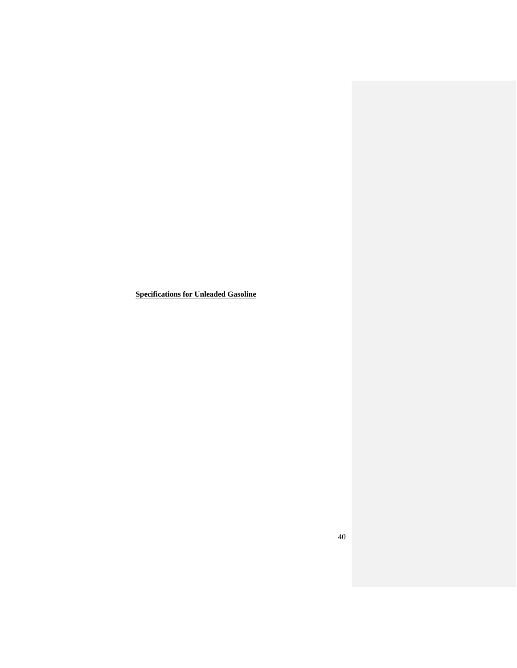<span id="page-39-0"></span>**Specifications for Unleaded Gasoline**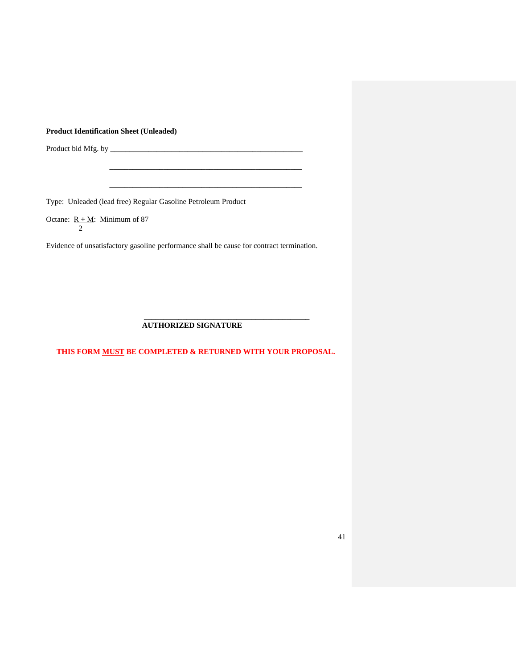## <span id="page-40-0"></span>**Product Identification Sheet (Unleaded)**

Product bid Mfg. by \_\_\_\_\_\_\_\_\_\_\_\_\_\_\_\_\_\_\_\_\_\_\_\_\_\_\_\_\_\_\_\_\_\_\_\_\_\_\_\_\_\_\_\_\_\_\_\_\_\_

Type: Unleaded (lead free) Regular Gasoline Petroleum Product

Octane:  $R + M$ : Minimum of 87 2

Evidence of unsatisfactory gasoline performance shall be cause for contract termination.

 **\_\_\_\_\_\_\_\_\_\_\_\_\_\_\_\_\_\_\_\_\_\_\_\_\_\_\_\_\_\_\_\_\_\_\_\_\_\_\_\_\_\_\_\_\_\_\_\_\_\_**

 **\_\_\_\_\_\_\_\_\_\_\_\_\_\_\_\_\_\_\_\_\_\_\_\_\_\_\_\_\_\_\_\_\_\_\_\_\_\_\_\_\_\_\_\_\_\_\_\_\_\_**

## **AUTHORIZED SIGNATURE**

 $\overline{\phantom{a}}$  , and the contract of the contract of the contract of the contract of the contract of the contract of the contract of the contract of the contract of the contract of the contract of the contract of the contrac

**THIS FORM MUST BE COMPLETED & RETURNED WITH YOUR PROPOSAL.**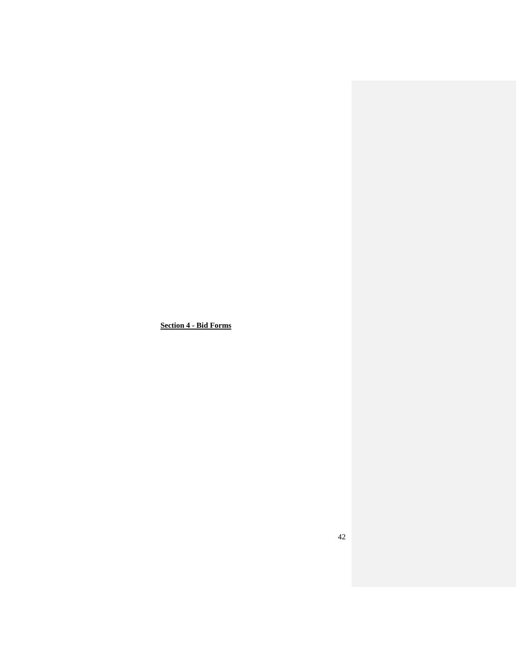<span id="page-41-0"></span>**Section 4 - Bid Forms**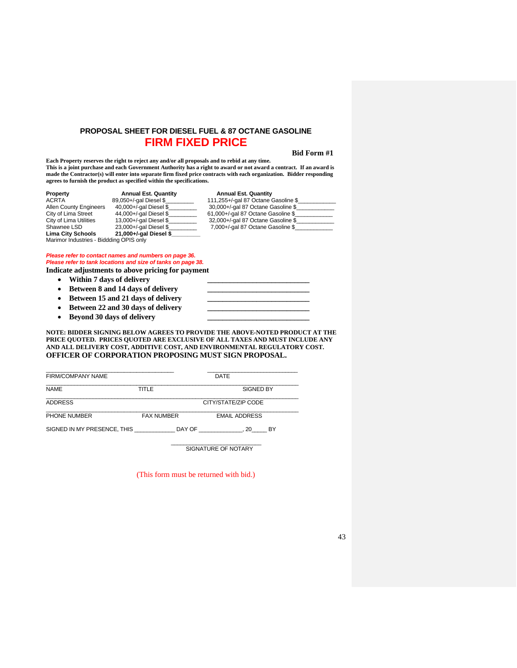## **PROPOSAL SHEET FOR DIESEL FUEL & 87 OCTANE GASOLINE FIRM FIXED PRICE**

#### <span id="page-42-0"></span> **Bid Form #1**

**Each Property reserves the right to reject any and/or all proposals and to rebid at any time. This is a joint purchase and each Government Authority has a right to award or not award a contract. If an award is made the Contractor(s) will enter into separate firm fixed price contracts with each organization. Bidder responding agrees to furnish the product as specified within the specifications.**

| Property                                | <b>Annual Est. Quantity</b> | <b>Annual Est. Quantity</b>         |
|-----------------------------------------|-----------------------------|-------------------------------------|
| ACRTA                                   | 89,050+/-gal Diesel \$      | 111,255+/-gal 87 Octane Gasoline \$ |
| <b>Allen County Engineers</b>           | 40,000+/-gal Diesel \$      | 30,000+/-gal 87 Octane Gasoline \$  |
| City of Lima Street                     | 44,000+/-gal Diesel \$      | 61,000+/-gal 87 Octane Gasoline \$  |
| City of Lima Utilities                  | 13,000+/-gal Diesel \$      | 32,000+/-gal 87 Octane Gasoline \$  |
| Shawnee LSD                             | 23,000+/-gal Diesel \$      | 7,000+/-gal 87 Octane Gasoline \$   |
| <b>Lima City Schools</b>                | 21,000+/-gal Diesel \$      |                                     |
| Marimor Industries - Biddding OPIS only |                             |                                     |

*Please refer to contact names and numbers on page 36. Please refer to tank locations and size of tanks on page 38.* **Indicate adjustments to above pricing for payment**

- - **Within 7 days of delivery \_\_\_\_\_\_\_\_\_\_\_\_\_\_\_\_\_\_\_\_\_\_\_\_\_\_\_**
	- Between 8 and 14 days of delivery
	- **Between 15 and 21 days of delivery**
	- **Between 22 and 30 days of delivery**
	- **Beyond 30 days of delivery**

**NOTE: BIDDER SIGNING BELOW AGREES TO PROVIDE THE ABOVE-NOTED PRODUCT AT THE PRICE QUOTED. PRICES QUOTED ARE EXCLUSIVE OF ALL TAXES AND MUST INCLUDE ANY AND ALL DELIVERY COST, ADDITIVE COST, AND ENVIRONMENTAL REGULATORY COST. OFFICER OF CORPORATION PROPOSING MUST SIGN PROPOSAL.**

| <b>FIRM/COMPANY NAME</b>    |                   | DATE                 |
|-----------------------------|-------------------|----------------------|
| <b>NAMF</b>                 | TITI F            | <b>SIGNED BY</b>     |
| <b>ADDRESS</b>              |                   | CITY/STATE/ZIP CODE  |
| PHONE NUMBER                | <b>FAX NUMBER</b> | <b>EMAIL ADDRESS</b> |
| SIGNED IN MY PRESENCE, THIS | DAY OF            | 20<br><b>BY</b>      |

 $\_$ SIGNATURE OF NOTARY

(This form must be returned with bid.)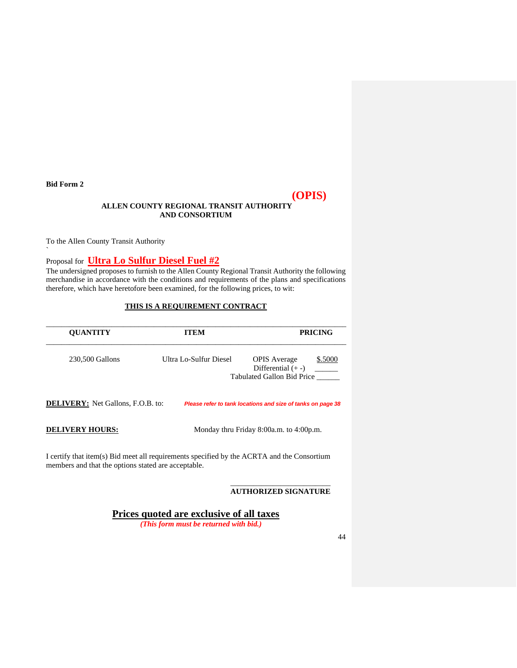<span id="page-43-0"></span>**Bid Form 2**

`

# **(OPIS)**

## **ALLEN COUNTY REGIONAL TRANSIT AUTHORITY AND CONSORTIUM**

To the Allen County Transit Authority

Proposal for **Ultra Lo Sulfur Diesel Fuel #2**

The undersigned proposes to furnish to the Allen County Regional Transit Authority the following merchandise in accordance with the conditions and requirements of the plans and specifications therefore, which have heretofore been examined, for the following prices, to wit:

## **THIS IS A REQUIREMENT CONTRACT**

| <b>OUANTITY</b>                                                                                                                                   | <b>ITEM</b>            | <b>PRICING</b>                                                                       |
|---------------------------------------------------------------------------------------------------------------------------------------------------|------------------------|--------------------------------------------------------------------------------------|
| 230,500 Gallons                                                                                                                                   | Ultra Lo-Sulfur Diesel | <b>OPIS</b> Average<br>\$.5000<br>Differential $(+ -)$<br>Tabulated Gallon Bid Price |
| <b>DELIVERY:</b> Net Gallons, F.O.B. to:                                                                                                          |                        | Please refer to tank locations and size of tanks on page 38                          |
| <b>DELIVERY HOURS:</b>                                                                                                                            |                        | Monday thru Friday 8:00a.m. to 4:00p.m.                                              |
| I certify that item(s) Bid meet all requirements specified by the ACRTA and the Consortium<br>members and that the options stated are acceptable. |                        |                                                                                      |

#### **AUTHORIZED SIGNATURE**

**Prices quoted are exclusive of all taxes** *(This form must be returned with bid.)*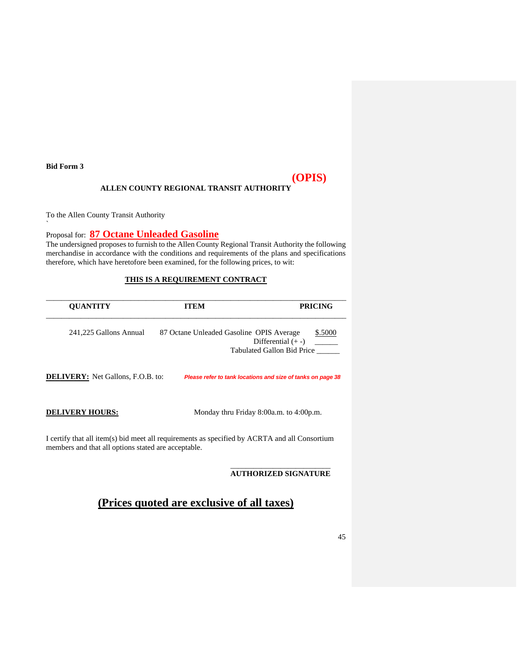<span id="page-44-0"></span>**Bid Form 3**

`

# **(OPIS)**

## **ALLEN COUNTY REGIONAL TRANSIT AUTHORITY**

To the Allen County Transit Authority

## Proposal for: **87 Octane Unleaded Gasoline**

The undersigned proposes to furnish to the Allen County Regional Transit Authority the following merchandise in accordance with the conditions and requirements of the plans and specifications therefore, which have heretofore been examined, for the following prices, to wit:

## **THIS IS A REQUIREMENT CONTRACT**

| <b>QUANTITY</b>                                     | <b>ITEM</b>                                                                                   | <b>PRICING</b>                                                |
|-----------------------------------------------------|-----------------------------------------------------------------------------------------------|---------------------------------------------------------------|
| 241,225 Gallons Annual                              | 87 Octane Unleaded Gasoline OPIS Average                                                      | \$.5000<br>Differential $(+ -)$<br>Tabulated Gallon Bid Price |
| <b>DELIVERY:</b> Net Gallons, F.O.B. to:            |                                                                                               | Please refer to tank locations and size of tanks on page 38   |
| <b>DELIVERY HOURS:</b>                              |                                                                                               | Monday thru Friday 8:00a.m. to 4:00p.m.                       |
| members and that all options stated are acceptable. | I certify that all item(s) bid meet all requirements as specified by ACRTA and all Consortium |                                                               |

\_\_\_\_\_\_\_\_\_\_\_\_\_\_\_\_\_\_\_\_\_\_\_\_\_\_ **AUTHORIZED SIGNATURE**

# **(Prices quoted are exclusive of all taxes)**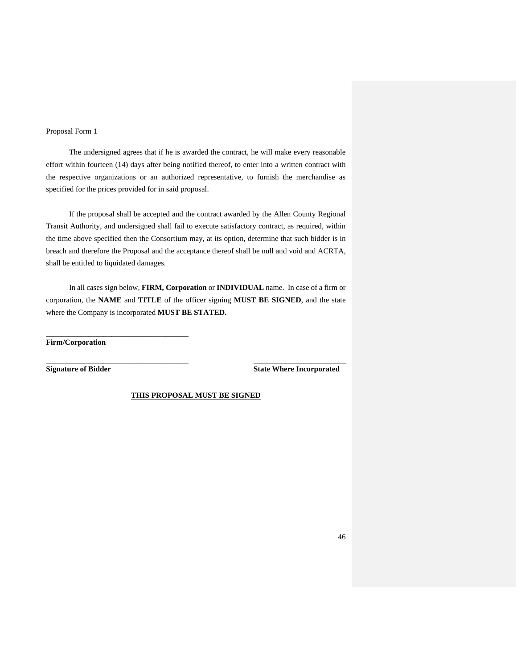### <span id="page-45-0"></span>Proposal Form 1

The undersigned agrees that if he is awarded the contract, he will make every reasonable effort within fourteen (14) days after being notified thereof, to enter into a written contract with the respective organizations or an authorized representative, to furnish the merchandise as specified for the prices provided for in said proposal.

If the proposal shall be accepted and the contract awarded by the Allen County Regional Transit Authority, and undersigned shall fail to execute satisfactory contract, as required, within the time above specified then the Consortium may, at its option, determine that such bidder is in breach and therefore the Proposal and the acceptance thereof shall be null and void and ACRTA, shall be entitled to liquidated damages.

In all cases sign below, **FIRM, Corporation** or **INDIVIDUAL** name. In case of a firm or corporation, the **NAME** and **TITLE** of the officer signing **MUST BE SIGNED**, and the state where the Company is incorporated **MUST BE STATED.**

**Firm/Corporation**

\_\_\_\_\_\_\_\_\_\_\_\_\_\_\_\_\_\_\_\_\_\_\_\_\_\_\_\_\_\_\_\_\_\_\_\_\_

**Signature of Bidder State Where Incorporated**

**THIS PROPOSAL MUST BE SIGNED**

\_\_\_\_\_\_\_\_\_\_\_\_\_\_\_\_\_\_\_\_\_\_\_\_\_\_\_\_\_\_\_\_\_\_\_\_\_ \_\_\_\_\_\_\_\_\_\_\_\_\_\_\_\_\_\_\_\_\_\_\_\_